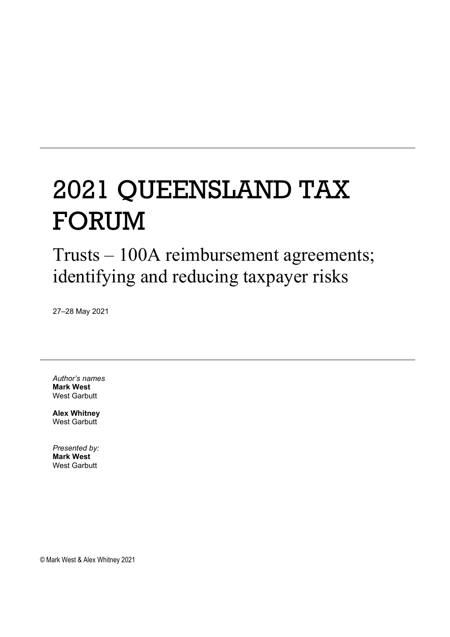# 2021 QUEENSLAND TAX FORUM

Trusts – 100A reimbursement agreements; identifying and reducing taxpayer risks

27–28 May 2021

*Author's names* **Mark West** West Garbutt

**Alex Whitney** West Garbutt

*Presented by:* **Mark West** West Garbutt

© Mark West & Alex Whitney 2021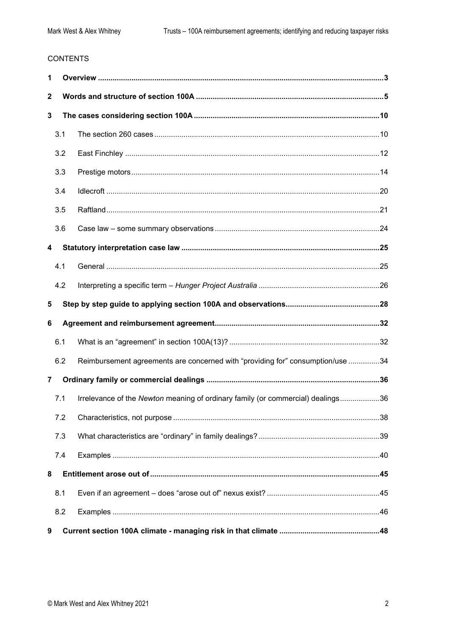#### **CONTENTS**

| 1              |     |                                                                                 |  |  |  |  |  |
|----------------|-----|---------------------------------------------------------------------------------|--|--|--|--|--|
| 2              |     |                                                                                 |  |  |  |  |  |
| 3              |     |                                                                                 |  |  |  |  |  |
|                | 3.1 |                                                                                 |  |  |  |  |  |
|                | 3.2 |                                                                                 |  |  |  |  |  |
|                | 3.3 |                                                                                 |  |  |  |  |  |
|                | 3.4 |                                                                                 |  |  |  |  |  |
|                | 3.5 |                                                                                 |  |  |  |  |  |
|                | 3.6 |                                                                                 |  |  |  |  |  |
| 4              |     |                                                                                 |  |  |  |  |  |
|                | 4.1 |                                                                                 |  |  |  |  |  |
|                | 4.2 |                                                                                 |  |  |  |  |  |
|                | 5   |                                                                                 |  |  |  |  |  |
|                |     |                                                                                 |  |  |  |  |  |
| 6              |     |                                                                                 |  |  |  |  |  |
|                | 6.1 |                                                                                 |  |  |  |  |  |
|                | 6.2 | Reimbursement agreements are concerned with "providing for" consumption/use 34  |  |  |  |  |  |
| $\overline{7}$ |     |                                                                                 |  |  |  |  |  |
|                | 7.1 | Irrelevance of the Newton meaning of ordinary family (or commercial) dealings36 |  |  |  |  |  |
|                | 7.2 |                                                                                 |  |  |  |  |  |
|                | 7.3 |                                                                                 |  |  |  |  |  |
|                | 7.4 |                                                                                 |  |  |  |  |  |
| 8              |     |                                                                                 |  |  |  |  |  |
|                | 8.1 |                                                                                 |  |  |  |  |  |
|                | 8.2 |                                                                                 |  |  |  |  |  |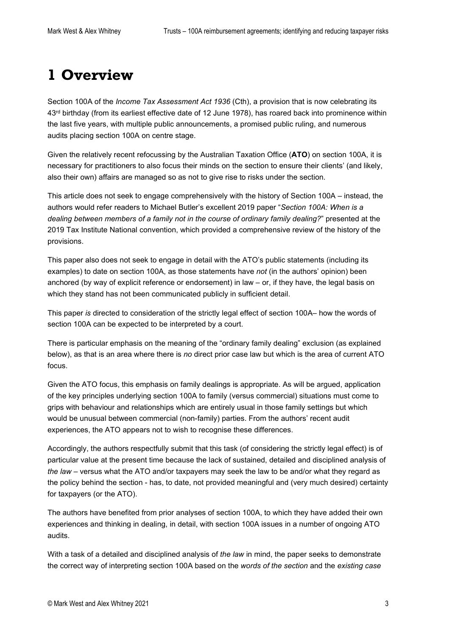# <span id="page-2-0"></span>**1 Overview**

Section 100A of the *Income Tax Assessment Act 1936* (Cth), a provision that is now celebrating its 43<sup>rd</sup> birthday (from its earliest effective date of 12 June 1978), has roared back into prominence within the last five years, with multiple public announcements, a promised public ruling, and numerous audits placing section 100A on centre stage.

Given the relatively recent refocussing by the Australian Taxation Office (**ATO**) on section 100A, it is necessary for practitioners to also focus their minds on the section to ensure their clients' (and likely, also their own) affairs are managed so as not to give rise to risks under the section.

This article does not seek to engage comprehensively with the history of Section 100A – instead, the authors would refer readers to Michael Butler's excellent 2019 paper "*Section 100A: When is a dealing between members of a family not in the course of ordinary family dealing?*" presented at the 2019 Tax Institute National convention, which provided a comprehensive review of the history of the provisions.

This paper also does not seek to engage in detail with the ATO's public statements (including its examples) to date on section 100A, as those statements have *not* (in the authors' opinion) been anchored (by way of explicit reference or endorsement) in law – or, if they have, the legal basis on which they stand has not been communicated publicly in sufficient detail.

This paper *is* directed to consideration of the strictly legal effect of section 100A– how the words of section 100A can be expected to be interpreted by a court.

There is particular emphasis on the meaning of the "ordinary family dealing" exclusion (as explained below), as that is an area where there is *no* direct prior case law but which is the area of current ATO focus.

Given the ATO focus, this emphasis on family dealings is appropriate. As will be argued, application of the key principles underlying section 100A to family (versus commercial) situations must come to grips with behaviour and relationships which are entirely usual in those family settings but which would be unusual between commercial (non-family) parties. From the authors' recent audit experiences, the ATO appears not to wish to recognise these differences.

Accordingly, the authors respectfully submit that this task (of considering the strictly legal effect) is of particular value at the present time because the lack of sustained, detailed and disciplined analysis of *the law* – versus what the ATO and/or taxpayers may seek the law to be and/or what they regard as the policy behind the section - has, to date, not provided meaningful and (very much desired) certainty for taxpayers (or the ATO).

The authors have benefited from prior analyses of section 100A, to which they have added their own experiences and thinking in dealing, in detail, with section 100A issues in a number of ongoing ATO audits.

With a task of a detailed and disciplined analysis of *the law* in mind, the paper seeks to demonstrate the correct way of interpreting section 100A based on the *words of the section* and the *existing case*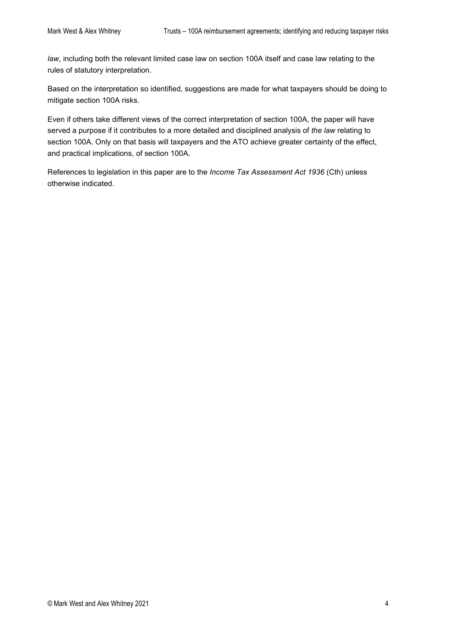*law*, including both the relevant limited case law on section 100A itself and case law relating to the rules of statutory interpretation.

Based on the interpretation so identified, suggestions are made for what taxpayers should be doing to mitigate section 100A risks.

Even if others take different views of the correct interpretation of section 100A, the paper will have served a purpose if it contributes to a more detailed and disciplined analysis of *the law* relating to section 100A. Only on that basis will taxpayers and the ATO achieve greater certainty of the effect, and practical implications, of section 100A.

References to legislation in this paper are to the *Income Tax Assessment Act 1936* (Cth) unless otherwise indicated.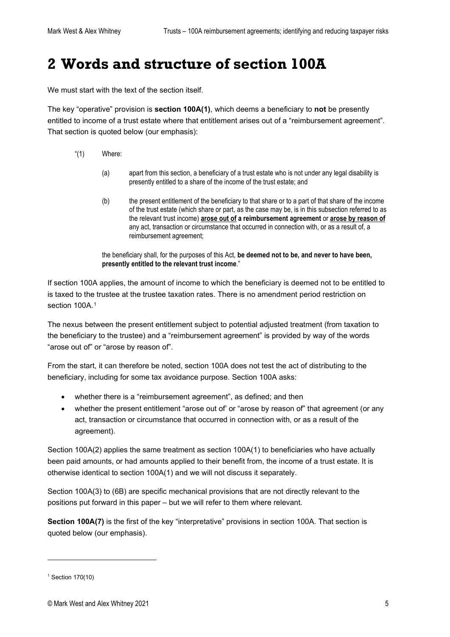# <span id="page-4-0"></span>**2 Words and structure of section 100A**

We must start with the text of the section itself.

The key "operative" provision is **section 100A(1)**, which deems a beneficiary to **not** be presently entitled to income of a trust estate where that entitlement arises out of a "reimbursement agreement". That section is quoted below (our emphasis):

- "(1) Where:
	- (a) apart from this section, a beneficiary of a trust estate who is not under any legal disability is presently entitled to a share of the income of the trust estate; and
	- (b) the present entitlement of the beneficiary to that share or to a part of that share of the income of the trust estate (which share or part, as the case may be, is in this subsection referred to as the relevant trust income) **arose out of a reimbursement agreement** or **arose by reason of** any act, transaction or circumstance that occurred in connection with, or as a result of, a reimbursement agreement;

the beneficiary shall, for the purposes of this Act, **be deemed not to be, and never to have been, presently entitled to the relevant trust income**."

If section 100A applies, the amount of income to which the beneficiary is deemed not to be entitled to is taxed to the trustee at the trustee taxation rates. There is no amendment period restriction on section [1](#page-4-1)00A.<sup>1</sup>

The nexus between the present entitlement subject to potential adjusted treatment (from taxation to the beneficiary to the trustee) and a "reimbursement agreement" is provided by way of the words "arose out of" or "arose by reason of".

From the start, it can therefore be noted, section 100A does not test the act of distributing to the beneficiary, including for some tax avoidance purpose. Section 100A asks:

- whether there is a "reimbursement agreement", as defined; and then
- whether the present entitlement "arose out of' or "arose by reason of" that agreement (or any act, transaction or circumstance that occurred in connection with, or as a result of the agreement).

Section 100A(2) applies the same treatment as section 100A(1) to beneficiaries who have actually been paid amounts, or had amounts applied to their benefit from, the income of a trust estate. It is otherwise identical to section 100A(1) and we will not discuss it separately.

Section 100A(3) to (6B) are specific mechanical provisions that are not directly relevant to the positions put forward in this paper – but we will refer to them where relevant.

**Section 100A(7)** is the first of the key "interpretative" provisions in section 100A. That section is quoted below (our emphasis).

<span id="page-4-1"></span> $1$  Section 170(10)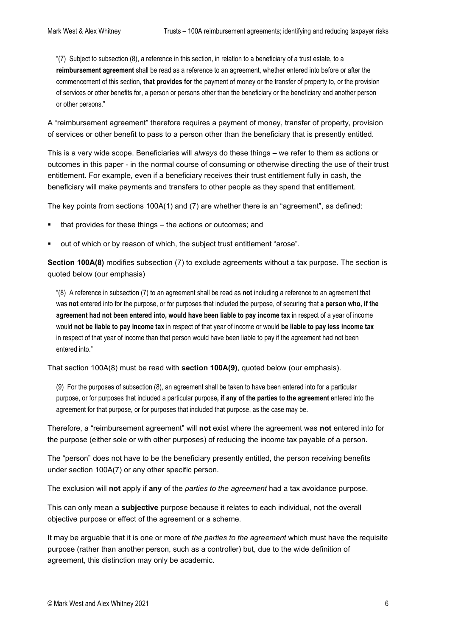"(7) Subject t[o subsection](http://classic.austlii.edu.au/au/legis/cth/consol_act/itaa1936240/s102aab.html#subsection) (8), a reference in this section, in relation to a beneficiary of a [trust estate,](http://classic.austlii.edu.au/au/legis/cth/consol_act/itaa1936240/s102aab.html#trust_estate) to a **reimbursement [agreement](http://classic.austlii.edu.au/au/legis/cth/consol_act/itaa1936240/s100a.html#agreement)** shall be read as a reference to an [agreement,](http://classic.austlii.edu.au/au/legis/cth/consol_act/itaa1936240/s100a.html#agreement) whether entered into before or after the commencement of this section, **that [provides](http://classic.austlii.edu.au/au/legis/cth/consol_act/itaa1936240/s317.html#provide) for** the payment of money or th[e transfer](http://classic.austlii.edu.au/au/legis/cth/consol_act/itaa1936240/s102aab.html#transfer) o[f property](http://classic.austlii.edu.au/au/legis/cth/consol_act/itaa1936240/s100a.html#property) to, or the provision o[f services](http://classic.austlii.edu.au/au/legis/cth/consol_act/itaa1936240/s102aab.html#services) or other benefits for, [a person](http://classic.austlii.edu.au/au/legis/cth/consol_act/itaa1936240/s202a.html#person) o[r persons](http://classic.austlii.edu.au/au/legis/cth/consol_act/itaa1936240/s202a.html#person) other than the beneficiary or the beneficiary and another [person](http://classic.austlii.edu.au/au/legis/cth/consol_act/itaa1936240/s202a.html#person) or other [persons.](http://classic.austlii.edu.au/au/legis/cth/consol_act/itaa1936240/s202a.html#person)"

A "reimbursement agreement" therefore requires a payment of money, transfer of property, provision of services or other benefit to pass to a person other than the beneficiary that is presently entitled.

This is a very wide scope. Beneficiaries will *always* do these things – we refer to them as actions or outcomes in this paper - in the normal course of consuming or otherwise directing the use of their trust entitlement. For example, even if a beneficiary receives their trust entitlement fully in cash, the beneficiary will make payments and transfers to other people as they spend that entitlement.

The key points from sections 100A(1) and (7) are whether there is an "agreement", as defined:

- that provides for these things the actions or outcomes; and
- out of which or by reason of which, the subject trust entitlement "arose".

**Section 100A(8)** modifies subsection (7) to exclude agreements without a tax purpose. The section is quoted below (our emphasis)

"(8) A reference in [subsection](http://classic.austlii.edu.au/au/legis/cth/consol_act/itaa1936240/s102aab.html#subsection) (7) to a[n agreement](http://classic.austlii.edu.au/au/legis/cth/consol_act/itaa1936240/s100a.html#agreement) shall be read as **not** including a reference to an [agreement](http://classic.austlii.edu.au/au/legis/cth/consol_act/itaa1936240/s100a.html#agreement) that was **not** entered into for the purpose, or for purposes that included the purpose, of securing that **a [person](http://classic.austlii.edu.au/au/legis/cth/consol_act/itaa1936240/s202a.html#person) who, if the [agreement](http://classic.austlii.edu.au/au/legis/cth/consol_act/itaa1936240/s100a.html#agreement) had not been entered into, would have been liable to pay [income tax](http://classic.austlii.edu.au/au/legis/cth/consol_act/itaa1936240/s6.html#income_tax)** in respect of a [year of income](http://classic.austlii.edu.au/au/legis/cth/consol_act/itaa1936240/s6.html#year_of_income) would **not be liable to pa[y income tax](http://classic.austlii.edu.au/au/legis/cth/consol_act/itaa1936240/s6.html#income_tax)** in respect of tha[t year of income](http://classic.austlii.edu.au/au/legis/cth/consol_act/itaa1936240/s6.html#year_of_income) or would **be liable to pay less [income tax](http://classic.austlii.edu.au/au/legis/cth/consol_act/itaa1936240/s6.html#income_tax)** in respect of tha[t year of income](http://classic.austlii.edu.au/au/legis/cth/consol_act/itaa1936240/s6.html#year_of_income) than tha[t person](http://classic.austlii.edu.au/au/legis/cth/consol_act/itaa1936240/s202a.html#person) would have been liable to pay if th[e agreement](http://classic.austlii.edu.au/au/legis/cth/consol_act/itaa1936240/s100a.html#agreement) had not been entered into."

That section 100A(8) must be read with **section 100A(9)**, quoted below (our emphasis).

(9) For the purposes o[f subsection](http://classic.austlii.edu.au/au/legis/cth/consol_act/itaa1936240/s102aab.html#subsection) (8), an [agreement](http://classic.austlii.edu.au/au/legis/cth/consol_act/itaa1936240/s100a.html#agreement) shall be taken to have been entered into for a particular purpose, or for purposes that included a particular purpose**, if any of the parties to the [agreement](http://classic.austlii.edu.au/au/legis/cth/consol_act/itaa1936240/s100a.html#agreement)** entered into the [agreement](http://classic.austlii.edu.au/au/legis/cth/consol_act/itaa1936240/s100a.html#agreement) for that purpose, or for purposes that included that purpose, as the case may be.

Therefore, a "reimbursement agreement" will **not** exist where the agreement was **not** entered into for the purpose (either sole or with other purposes) of reducing the income tax payable of a person.

The "person" does not have to be the beneficiary presently entitled, the person receiving benefits under section 100A(7) or any other specific person.

The exclusion will **not** apply if **any** of the *parties to the agreement* had a tax avoidance purpose.

This can only mean a **subjective** purpose because it relates to each individual, not the overall objective purpose or effect of the agreement or a scheme.

It may be arguable that it is one or more of *the parties to the agreement* which must have the requisite purpose (rather than another person, such as a controller) but, due to the wide definition of agreement, this distinction may only be academic.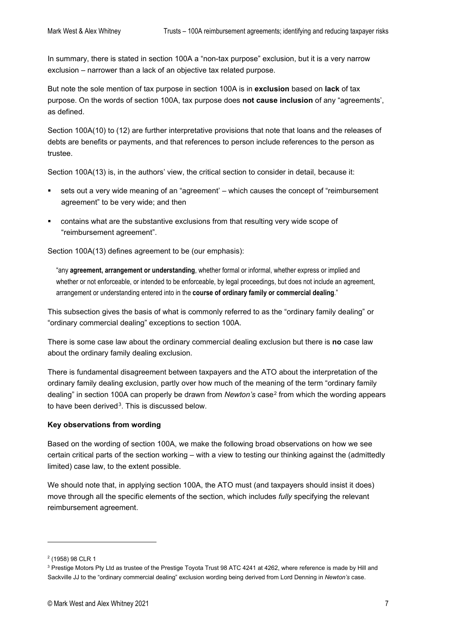In summary, there is stated in section 100A a "non-tax purpose" exclusion, but it is a very narrow exclusion – narrower than a lack of an objective tax related purpose.

But note the sole mention of tax purpose in section 100A is in **exclusion** based on **lack** of tax purpose. On the words of section 100A, tax purpose does **not cause inclusion** of any "agreements', as defined.

Section 100A(10) to (12) are further interpretative provisions that note that loans and the releases of debts are benefits or payments, and that references to person include references to the person as trustee.

Section 100A(13) is, in the authors' view, the critical section to consider in detail, because it:

- sets out a very wide meaning of an "agreement' which causes the concept of "reimbursement agreement" to be very wide; and then
- contains what are the substantive exclusions from that resulting very wide scope of "reimbursement agreement".

Section 100A(13) defines agreement to be (our emphasis):

"any **agreement, arrangement or understanding**, whether formal or informal, whether express or implied and whether or not enforceable, or intended to be enforceable, by legal proceedings, but does not include an agreement, arrangement or understanding entered into in the **course of ordinary family or commercial dealing**."

This subsection gives the basis of what is commonly referred to as the "ordinary family dealing" or "ordinary commercial dealing" exceptions to section 100A.

There is some case law about the ordinary commercial dealing exclusion but there is **no** case law about the ordinary family dealing exclusion.

There is fundamental disagreement between taxpayers and the ATO about the interpretation of the ordinary family dealing exclusion, partly over how much of the meaning of the term "ordinary family dealing" in section 100A can properly be drawn from *Newton's* case[2](#page-6-0) from which the wording appears to have been derived<sup>3</sup>. This is discussed below.

#### **Key observations from wording**

Based on the wording of section 100A, we make the following broad observations on how we see certain critical parts of the section working – with a view to testing our thinking against the (admittedly limited) case law, to the extent possible.

We should note that, in applying section 100A, the ATO must (and taxpayers should insist it does) move through all the specific elements of the section, which includes *fully* specifying the relevant reimbursement agreement.

<span id="page-6-0"></span><sup>2</sup> (1958) 98 CLR 1

<span id="page-6-1"></span><sup>&</sup>lt;sup>3</sup> Prestige Motors Pty Ltd as trustee of the Prestige Toyota Trust 98 ATC 4241 at 4262, where reference is made by Hill and Sackville JJ to the "ordinary commercial dealing" exclusion wording being derived from Lord Denning in *Newton's* case.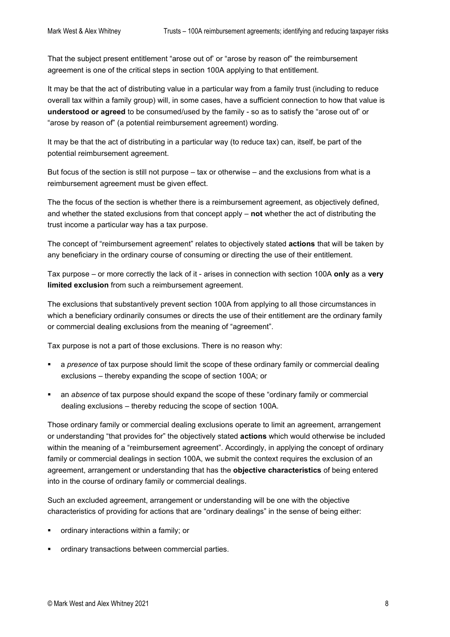That the subject present entitlement "arose out of' or "arose by reason of" the reimbursement agreement is one of the critical steps in section 100A applying to that entitlement.

It may be that the act of distributing value in a particular way from a family trust (including to reduce overall tax within a family group) will, in some cases, have a sufficient connection to how that value is **understood or agreed** to be consumed/used by the family - so as to satisfy the "arose out of' or "arose by reason of" (a potential reimbursement agreement) wording.

It may be that the act of distributing in a particular way (to reduce tax) can, itself, be part of the potential reimbursement agreement.

But focus of the section is still not purpose – tax or otherwise – and the exclusions from what is a reimbursement agreement must be given effect.

The the focus of the section is whether there is a reimbursement agreement, as objectively defined, and whether the stated exclusions from that concept apply – **not** whether the act of distributing the trust income a particular way has a tax purpose.

The concept of "reimbursement agreement" relates to objectively stated **actions** that will be taken by any beneficiary in the ordinary course of consuming or directing the use of their entitlement.

Tax purpose – or more correctly the lack of it - arises in connection with section 100A **only** as a **very limited exclusion** from such a reimbursement agreement.

The exclusions that substantively prevent section 100A from applying to all those circumstances in which a beneficiary ordinarily consumes or directs the use of their entitlement are the ordinary family or commercial dealing exclusions from the meaning of "agreement".

Tax purpose is not a part of those exclusions. There is no reason why:

- a *presence* of tax purpose should limit the scope of these ordinary family or commercial dealing exclusions – thereby expanding the scope of section 100A; or
- an *absence* of tax purpose should expand the scope of these "ordinary family or commercial dealing exclusions – thereby reducing the scope of section 100A.

Those ordinary family or commercial dealing exclusions operate to limit an agreement, arrangement or understanding "that provides for" the objectively stated **actions** which would otherwise be included within the meaning of a "reimbursement agreement". Accordingly, in applying the concept of ordinary family or commercial dealings in section 100A, we submit the context requires the exclusion of an agreement, arrangement or understanding that has the **objective characteristics** of being entered into in the course of ordinary family or commercial dealings.

Such an excluded agreement, arrangement or understanding will be one with the objective characteristics of providing for actions that are "ordinary dealings" in the sense of being either:

- ordinary interactions within a family; or
- ordinary transactions between commercial parties.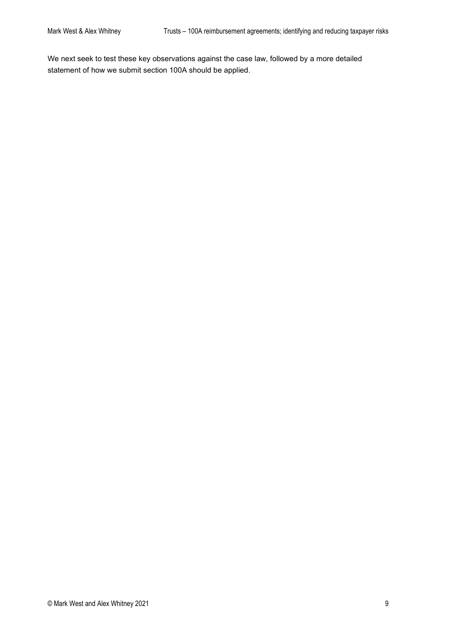We next seek to test these key observations against the case law, followed by a more detailed statement of how we submit section 100A should be applied.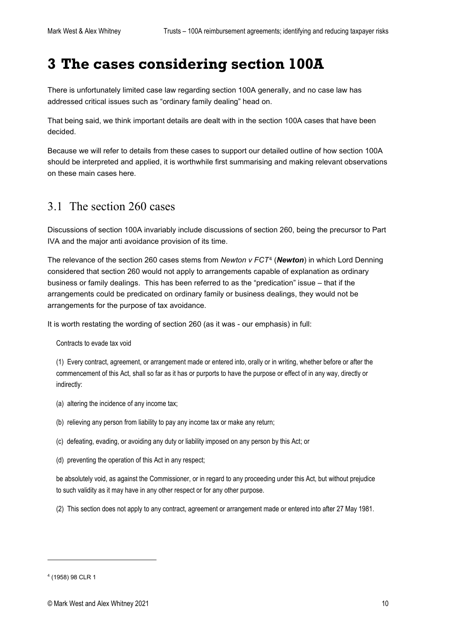# <span id="page-9-0"></span>**3 The cases considering section 100A**

There is unfortunately limited case law regarding section 100A generally, and no case law has addressed critical issues such as "ordinary family dealing" head on.

That being said, we think important details are dealt with in the section 100A cases that have been decided.

Because we will refer to details from these cases to support our detailed outline of how section 100A should be interpreted and applied, it is worthwhile first summarising and making relevant observations on these main cases here.

### <span id="page-9-1"></span>3.1 The section 260 cases

Discussions of section 100A invariably include discussions of section 260, being the precursor to Part IVA and the major anti avoidance provision of its time.

The relevance of the section 260 cases stems from *Newton v FCT*[4](#page-9-2) (*Newton*) in which Lord Denning considered that section 260 would not apply to arrangements capable of explanation as ordinary business or family dealings. This has been referred to as the "predication" issue – that if the arrangements could be predicated on ordinary family or business dealings, they would not be arrangements for the purpose of tax avoidance.

It is worth restating the wording of section 260 (as it was - our emphasis) in full:

Contracts to evade tax void

(1) Every contract, [agreement,](http://classic.austlii.edu.au/au/legis/cth/consol_act/itaa1936240/s159gp.html#agreement) or arrangement made or entered into, orally or in writing, whether before or after the commencement of [this Act,](http://classic.austlii.edu.au/au/legis/cth/consol_act/itaa1936240/s6.html#this_act) shall so far as it has or purports to have the purpose or effect of in any way, directly or indirectly:

- (a) altering the incidence of an[y income tax;](http://classic.austlii.edu.au/au/legis/cth/consol_act/itaa1936240/s6.html#income_tax)
- (b) relieving an[y person](http://classic.austlii.edu.au/au/legis/cth/consol_act/itaa1936240/s202a.html#person) from liability to pay any [income tax](http://classic.austlii.edu.au/au/legis/cth/consol_act/itaa1936240/s6.html#income_tax) or make an[y return;](http://classic.austlii.edu.au/au/legis/cth/consol_act/itaa1936240/s6.html#return)
- (c) defeating, evading, or avoiding any duty or liability imposed on an[y person](http://classic.austlii.edu.au/au/legis/cth/consol_act/itaa1936240/s202a.html#person) b[y this](http://classic.austlii.edu.au/au/legis/cth/consol_act/itaa1936240/s6.html#this_act) [Act;](http://classic.austlii.edu.au/au/legis/cth/consol_act/itaa1936240/s6.html#this_act) or
- (d) preventing the operation of [this Act](http://classic.austlii.edu.au/au/legis/cth/consol_act/itaa1936240/s6.html#this_act) in any respect;

be absolutely void, as against the [Commissioner,](http://classic.austlii.edu.au/au/legis/cth/consol_act/itaa1936240/s6.html#commissioner) or in regard to any proceeding under [this Act,](http://classic.austlii.edu.au/au/legis/cth/consol_act/itaa1936240/s6.html#this_act) but without prejudice to such validity as it may have in any other respect or for any other purpose.

(2) This section does not apply to any contract, [agreement](http://classic.austlii.edu.au/au/legis/cth/consol_act/itaa1936240/s159gp.html#agreement) or arrangement made or entered into after 27 May 1981.

<span id="page-9-2"></span><sup>4</sup> (1958) 98 CLR 1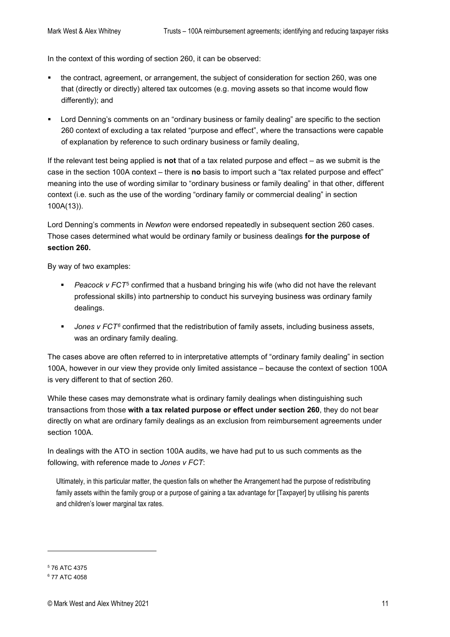In the context of this wording of section 260, it can be observed:

- the contract, [agreement,](http://classic.austlii.edu.au/au/legis/cth/consol_act/itaa1936240/s159gp.html#agreement) or arrangement, the subject of consideration for section 260, was one that (directly or directly) altered tax outcomes (e.g. moving assets so that income would flow differently); and
- Lord Denning's comments on an "ordinary business or family dealing" are specific to the section 260 context of excluding a tax related "purpose and effect", where the transactions were capable of explanation by reference to such ordinary business or family dealing,

If the relevant test being applied is **not** that of a tax related purpose and effect – as we submit is the case in the section 100A context – there is **no** basis to import such a "tax related purpose and effect" meaning into the use of wording similar to "ordinary business or family dealing" in that other, different context (i.e. such as the use of the wording "ordinary family or commercial dealing" in section 100A(13)).

Lord Denning's comments in *Newton* were endorsed repeatedly in subsequent section 260 cases. Those cases determined what would be ordinary family or business dealings **for the purpose of section 260.**

By way of two examples:

- *Peacock v FCT*[5](#page-10-0) confirmed that a husband bringing his wife (who did not have the relevant professional skills) into partnership to conduct his surveying business was ordinary family dealings.
- **Jones v FCT<sup>[6](#page-10-1)</sup>** confirmed that the redistribution of family assets, including business assets, was an ordinary family dealing.

The cases above are often referred to in interpretative attempts of "ordinary family dealing" in section 100A, however in our view they provide only limited assistance – because the context of section 100A is very different to that of section 260.

While these cases may demonstrate what is ordinary family dealings when distinguishing such transactions from those **with a tax related purpose or effect under section 260**, they do not bear directly on what are ordinary family dealings as an exclusion from reimbursement agreements under section 100A.

In dealings with the ATO in section 100A audits, we have had put to us such comments as the following, with reference made to *Jones v FCT*:

Ultimately, in this particular matter, the question falls on whether the Arrangement had the purpose of redistributing family assets within the family group or a purpose of gaining a tax advantage for [Taxpayer] by utilising his parents and children's lower marginal tax rates.

<span id="page-10-0"></span><sup>5</sup> 76 ATC 4375

<span id="page-10-1"></span><sup>6</sup> 77 ATC 4058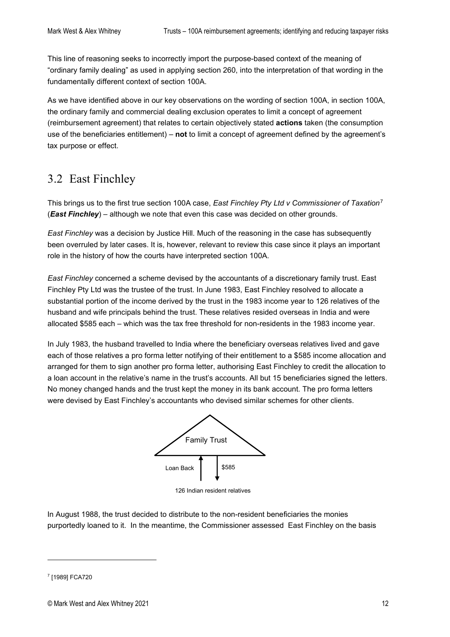This line of reasoning seeks to incorrectly import the purpose-based context of the meaning of "ordinary family dealing" as used in applying section 260, into the interpretation of that wording in the fundamentally different context of section 100A.

As we have identified above in our key observations on the wording of section 100A, in section 100A, the ordinary family and commercial dealing exclusion operates to limit a concept of agreement (reimbursement agreement) that relates to certain objectively stated **actions** taken (the consumption use of the beneficiaries entitlement) – **not** to limit a concept of agreement defined by the agreement's tax purpose or effect.

### <span id="page-11-0"></span>3.2 East Finchley

This brings us to the first true section 100A case, *East Finchley Pty Ltd v Commissioner of Taxation*[7](#page-11-1) (*East Finchley*) – although we note that even this case was decided on other grounds.

*East Finchley* was a decision by Justice Hill. Much of the reasoning in the case has subsequently been overruled by later cases. It is, however, relevant to review this case since it plays an important role in the history of how the courts have interpreted section 100A.

*East Finchley* concerned a scheme devised by the accountants of a discretionary family trust. East Finchley Pty Ltd was the trustee of the trust. In June 1983, East Finchley resolved to allocate a substantial portion of the income derived by the trust in the 1983 income year to 126 relatives of the husband and wife principals behind the trust. These relatives resided overseas in India and were allocated \$585 each – which was the tax free threshold for non-residents in the 1983 income year.

In July 1983, the husband travelled to India where the beneficiary overseas relatives lived and gave each of those relatives a pro forma letter notifying of their entitlement to a \$585 income allocation and arranged for them to sign another pro forma letter, authorising East Finchley to credit the allocation to a loan account in the relative's name in the trust's accounts. All but 15 beneficiaries signed the letters. No money changed hands and the trust kept the money in its bank account. The pro forma letters were devised by East Finchley's accountants who devised similar schemes for other clients.



126 Indian resident relatives

In August 1988, the trust decided to distribute to the non-resident beneficiaries the monies purportedly loaned to it. In the meantime, the Commissioner assessed East Finchley on the basis

<span id="page-11-1"></span><sup>7</sup> [1989] FCA720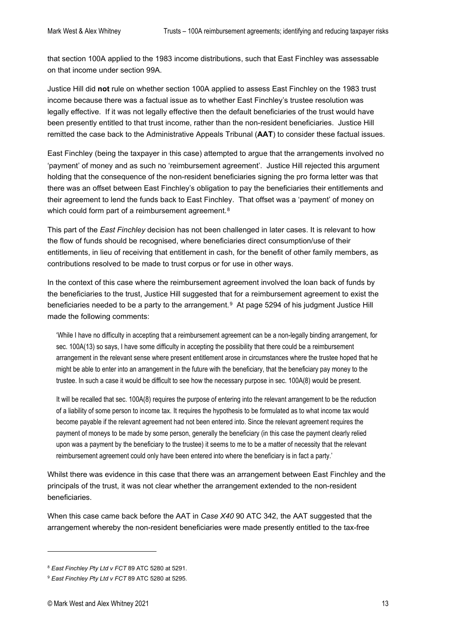that section 100A applied to the 1983 income distributions, such that East Finchley was assessable on that income under section 99A.

Justice Hill did **not** rule on whether section 100A applied to assess East Finchley on the 1983 trust income because there was a factual issue as to whether East Finchley's trustee resolution was legally effective. If it was not legally effective then the default beneficiaries of the trust would have been presently entitled to that trust income, rather than the non-resident beneficiaries. Justice Hill remitted the case back to the Administrative Appeals Tribunal (**AAT**) to consider these factual issues.

East Finchley (being the taxpayer in this case) attempted to argue that the arrangements involved no 'payment' of money and as such no 'reimbursement agreement'. Justice Hill rejected this argument holding that the consequence of the non-resident beneficiaries signing the pro forma letter was that there was an offset between East Finchley's obligation to pay the beneficiaries their entitlements and their agreement to lend the funds back to East Finchley. That offset was a 'payment' of money on which could form part of a reimbursement agreement.<sup>[8](#page-12-0)</sup>

This part of the *East Finchley* decision has not been challenged in later cases. It is relevant to how the flow of funds should be recognised, where beneficiaries direct consumption/use of their entitlements, in lieu of receiving that entitlement in cash, for the benefit of other family members, as contributions resolved to be made to trust corpus or for use in other ways.

In the context of this case where the reimbursement agreement involved the loan back of funds by the beneficiaries to the trust, Justice Hill suggested that for a reimbursement agreement to exist the beneficiaries needed to be a party to the arrangement.<sup>9</sup> At page 5294 of his judgment Justice Hill made the following comments:

'While I have no difficulty in accepting that a reimbursement agreement can be a non-legally binding arrangement, for sec. 100A(13) so says, I have some difficulty in accepting the possibility that there could be a reimbursement arrangement in the relevant sense where present entitlement arose in circumstances where the trustee hoped that he might be able to enter into an arrangement in the future with the beneficiary, that the beneficiary pay money to the trustee. In such a case it would be difficult to see how the necessary purpose in sec. 100A(8) would be present.

It will be recalled that sec. 100A(8) requires the purpose of entering into the relevant arrangement to be the reduction of a liability of some person to income tax. It requires the hypothesis to be formulated as to what income tax would become payable if the relevant agreement had not been entered into. Since the relevant agreement requires the payment of moneys to be made by some person, generally the beneficiary (in this case the payment clearly relied upon was a payment by the beneficiary to the trustee) it seems to me to be a matter of necessity that the relevant reimbursement agreement could only have been entered into where the beneficiary is in fact a party.'

Whilst there was evidence in this case that there was an arrangement between East Finchley and the principals of the trust, it was not clear whether the arrangement extended to the non-resident beneficiaries.

When this case came back before the AAT in *Case X40* 90 ATC 342, the AAT suggested that the arrangement whereby the non-resident beneficiaries were made presently entitled to the tax-free

<span id="page-12-0"></span><sup>8</sup> *East Finchley Pty Ltd v FCT* 89 ATC 5280 at 5291.

<span id="page-12-1"></span><sup>9</sup> *East Finchley Pty Ltd v FCT* 89 ATC 5280 at 5295.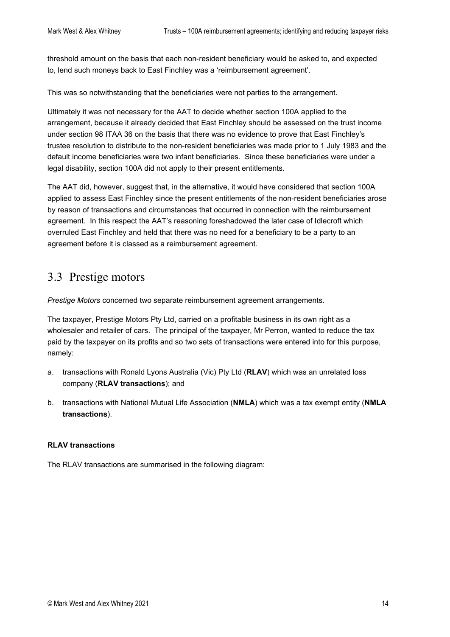threshold amount on the basis that each non-resident beneficiary would be asked to, and expected to, lend such moneys back to East Finchley was a 'reimbursement agreement'.

This was so notwithstanding that the beneficiaries were not parties to the arrangement.

Ultimately it was not necessary for the AAT to decide whether section 100A applied to the arrangement, because it already decided that East Finchley should be assessed on the trust income under section 98 ITAA 36 on the basis that there was no evidence to prove that East Finchley's trustee resolution to distribute to the non-resident beneficiaries was made prior to 1 July 1983 and the default income beneficiaries were two infant beneficiaries. Since these beneficiaries were under a legal disability, section 100A did not apply to their present entitlements.

The AAT did, however, suggest that, in the alternative, it would have considered that section 100A applied to assess East Finchley since the present entitlements of the non-resident beneficiaries arose by reason of transactions and circumstances that occurred in connection with the reimbursement agreement. In this respect the AAT's reasoning foreshadowed the later case of Idlecroft which overruled East Finchley and held that there was no need for a beneficiary to be a party to an agreement before it is classed as a reimbursement agreement.

### <span id="page-13-0"></span>3.3 Prestige motors

*Prestige Motors* concerned two separate reimbursement agreement arrangements.

The taxpayer, Prestige Motors Pty Ltd, carried on a profitable business in its own right as a wholesaler and retailer of cars. The principal of the taxpayer, Mr Perron, wanted to reduce the tax paid by the taxpayer on its profits and so two sets of transactions were entered into for this purpose, namely:

- a. transactions with Ronald Lyons Australia (Vic) Pty Ltd (**RLAV**) which was an unrelated loss company (**RLAV transactions**); and
- b. transactions with National Mutual Life Association (**NMLA**) which was a tax exempt entity (**NMLA transactions**).

#### **RLAV transactions**

The RLAV transactions are summarised in the following diagram: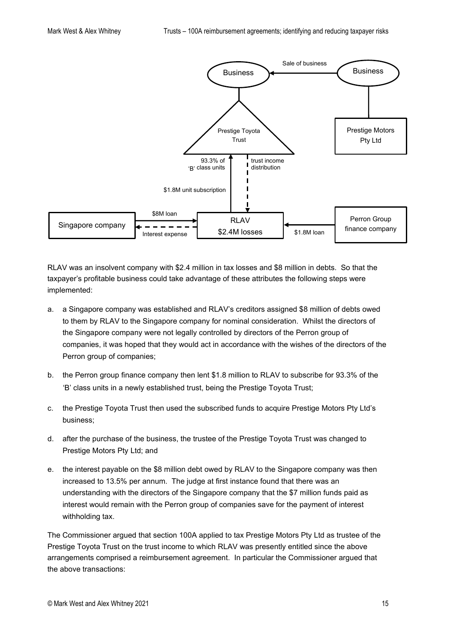

RLAV was an insolvent company with \$2.4 million in tax losses and \$8 million in debts. So that the taxpayer's profitable business could take advantage of these attributes the following steps were implemented:

- a. a Singapore company was established and RLAV's creditors assigned \$8 million of debts owed to them by RLAV to the Singapore company for nominal consideration. Whilst the directors of the Singapore company were not legally controlled by directors of the Perron group of companies, it was hoped that they would act in accordance with the wishes of the directors of the Perron group of companies;
- b. the Perron group finance company then lent \$1.8 million to RLAV to subscribe for 93.3% of the 'B' class units in a newly established trust, being the Prestige Toyota Trust;
- c. the Prestige Toyota Trust then used the subscribed funds to acquire Prestige Motors Pty Ltd's business;
- d. after the purchase of the business, the trustee of the Prestige Toyota Trust was changed to Prestige Motors Pty Ltd; and
- e. the interest payable on the \$8 million debt owed by RLAV to the Singapore company was then increased to 13.5% per annum. The judge at first instance found that there was an understanding with the directors of the Singapore company that the \$7 million funds paid as interest would remain with the Perron group of companies save for the payment of interest withholding tax.

The Commissioner argued that section 100A applied to tax Prestige Motors Pty Ltd as trustee of the Prestige Toyota Trust on the trust income to which RLAV was presently entitled since the above arrangements comprised a reimbursement agreement. In particular the Commissioner argued that the above transactions: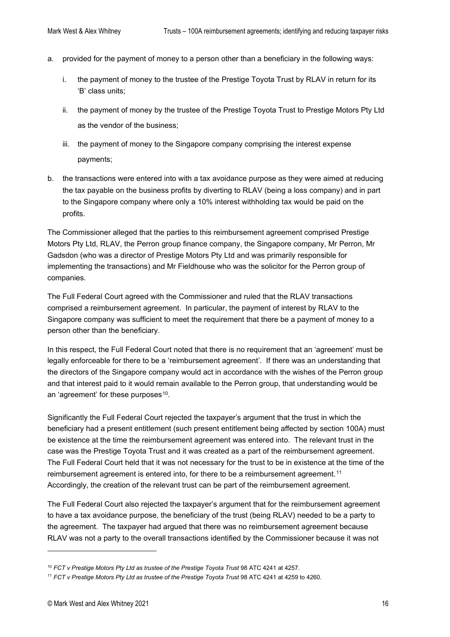- a. provided for the payment of money to a person other than a beneficiary in the following ways:
	- i. the payment of money to the trustee of the Prestige Toyota Trust by RLAV in return for its 'B' class units;
	- ii. the payment of money by the trustee of the Prestige Toyota Trust to Prestige Motors Pty Ltd as the vendor of the business;
	- iii. the payment of money to the Singapore company comprising the interest expense payments;
- b. the transactions were entered into with a tax avoidance purpose as they were aimed at reducing the tax payable on the business profits by diverting to RLAV (being a loss company) and in part to the Singapore company where only a 10% interest withholding tax would be paid on the profits.

The Commissioner alleged that the parties to this reimbursement agreement comprised Prestige Motors Pty Ltd, RLAV, the Perron group finance company, the Singapore company, Mr Perron, Mr Gadsdon (who was a director of Prestige Motors Pty Ltd and was primarily responsible for implementing the transactions) and Mr Fieldhouse who was the solicitor for the Perron group of companies.

The Full Federal Court agreed with the Commissioner and ruled that the RLAV transactions comprised a reimbursement agreement. In particular, the payment of interest by RLAV to the Singapore company was sufficient to meet the requirement that there be a payment of money to a person other than the beneficiary.

In this respect, the Full Federal Court noted that there is no requirement that an 'agreement' must be legally enforceable for there to be a 'reimbursement agreement'. If there was an understanding that the directors of the Singapore company would act in accordance with the wishes of the Perron group and that interest paid to it would remain available to the Perron group, that understanding would be an 'agreement' for these purposes<sup>[10](#page-15-0)</sup>.

Significantly the Full Federal Court rejected the taxpayer's argument that the trust in which the beneficiary had a present entitlement (such present entitlement being affected by section 100A) must be existence at the time the reimbursement agreement was entered into. The relevant trust in the case was the Prestige Toyota Trust and it was created as a part of the reimbursement agreement. The Full Federal Court held that it was not necessary for the trust to be in existence at the time of the reimbursement agreement is entered into, for there to be a reimbursement agreement.[11](#page-15-1) Accordingly, the creation of the relevant trust can be part of the reimbursement agreement.

The Full Federal Court also rejected the taxpayer's argument that for the reimbursement agreement to have a tax avoidance purpose, the beneficiary of the trust (being RLAV) needed to be a party to the agreement. The taxpayer had argued that there was no reimbursement agreement because RLAV was not a party to the overall transactions identified by the Commissioner because it was not

<span id="page-15-0"></span><sup>&</sup>lt;sup>10</sup> FCT v Prestige Motors Pty Ltd as trustee of the Prestige Toyota Trust 98 ATC 4241 at 4257.

<span id="page-15-1"></span><sup>&</sup>lt;sup>11</sup> *FCT v Prestige Motors Pty Ltd as trustee of the Prestige Toyota Trust* 98 ATC 4241 at 4259 to 4260.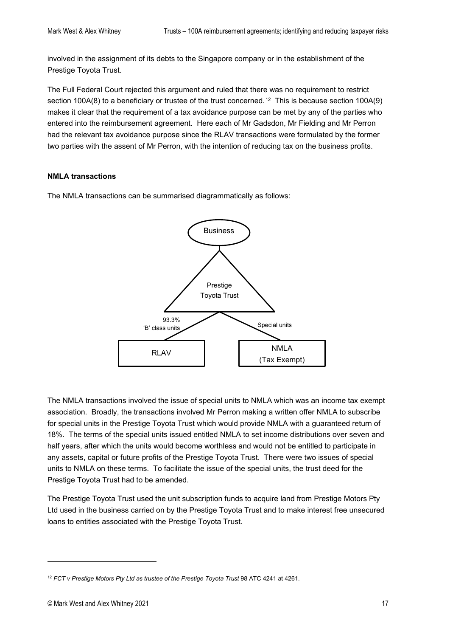involved in the assignment of its debts to the Singapore company or in the establishment of the Prestige Toyota Trust.

The Full Federal Court rejected this argument and ruled that there was no requirement to restrict section 100A(8) to a beneficiary or trustee of the trust concerned.<sup>[12](#page-16-0)</sup> This is because section 100A(9) makes it clear that the requirement of a tax avoidance purpose can be met by any of the parties who entered into the reimbursement agreement. Here each of Mr Gadsdon, Mr Fielding and Mr Perron had the relevant tax avoidance purpose since the RLAV transactions were formulated by the former two parties with the assent of Mr Perron, with the intention of reducing tax on the business profits.

#### **NMLA transactions**

The NMLA transactions can be summarised diagrammatically as follows:



The NMLA transactions involved the issue of special units to NMLA which was an income tax exempt association. Broadly, the transactions involved Mr Perron making a written offer NMLA to subscribe for special units in the Prestige Toyota Trust which would provide NMLA with a guaranteed return of 18%. The terms of the special units issued entitled NMLA to set income distributions over seven and half years, after which the units would become worthless and would not be entitled to participate in any assets, capital or future profits of the Prestige Toyota Trust. There were two issues of special units to NMLA on these terms. To facilitate the issue of the special units, the trust deed for the Prestige Toyota Trust had to be amended.

The Prestige Toyota Trust used the unit subscription funds to acquire land from Prestige Motors Pty Ltd used in the business carried on by the Prestige Toyota Trust and to make interest free unsecured loans to entities associated with the Prestige Toyota Trust.

<span id="page-16-0"></span><sup>&</sup>lt;sup>12</sup> FCT v Prestige Motors Pty Ltd as trustee of the Prestige Toyota Trust 98 ATC 4241 at 4261.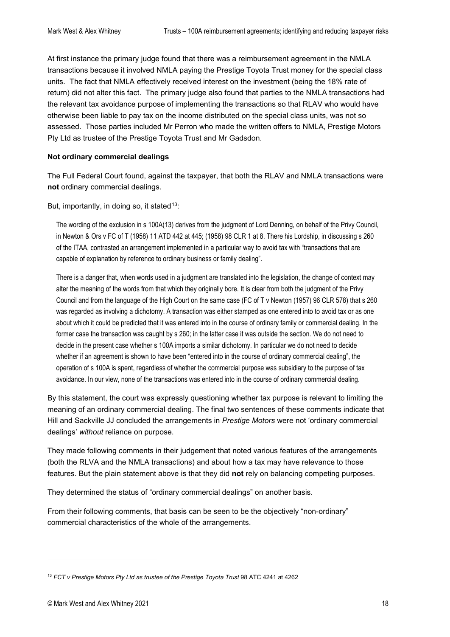At first instance the primary judge found that there was a reimbursement agreement in the NMLA transactions because it involved NMLA paying the Prestige Toyota Trust money for the special class units. The fact that NMLA effectively received interest on the investment (being the 18% rate of return) did not alter this fact. The primary judge also found that parties to the NMLA transactions had the relevant tax avoidance purpose of implementing the transactions so that RLAV who would have otherwise been liable to pay tax on the income distributed on the special class units, was not so assessed. Those parties included Mr Perron who made the written offers to NMLA, Prestige Motors Pty Ltd as trustee of the Prestige Toyota Trust and Mr Gadsdon.

#### **Not ordinary commercial dealings**

The Full Federal Court found, against the taxpayer, that both the RLAV and NMLA transactions were **not** ordinary commercial dealings.

But, importantly, in doing so, it stated<sup>[13](#page-17-0)</sup>:

The wording of the exclusion in s 100A(13) derives from the judgment of Lord Denning, on behalf of the Privy Council, in Newton & Ors v FC of T (1958) 11 ATD 442 at 445; (1958) 98 CLR 1 at 8. There his Lordship, in discussing s 260 of the ITAA, contrasted an arrangement implemented in a particular way to avoid tax with "transactions that are capable of explanation by reference to ordinary business or family dealing".

There is a danger that, when words used in a judgment are translated into the legislation, the change of context may alter the meaning of the words from that which they originally bore. It is clear from both the judgment of the Privy Council and from the language of the High Court on the same case (FC of T v Newton (1957) 96 CLR 578) that s 260 was regarded as involving a dichotomy. A transaction was either stamped as one entered into to avoid tax or as one about which it could be predicted that it was entered into in the course of ordinary family or commercial dealing. In the former case the transaction was caught by s 260; in the latter case it was outside the section. We do not need to decide in the present case whether s 100A imports a similar dichotomy. In particular we do not need to decide whether if an agreement is shown to have been "entered into in the course of ordinary commercial dealing", the operation of s 100A is spent, regardless of whether the commercial purpose was subsidiary to the purpose of tax avoidance. In our view, none of the transactions was entered into in the course of ordinary commercial dealing.

By this statement, the court was expressly questioning whether tax purpose is relevant to limiting the meaning of an ordinary commercial dealing. The final two sentences of these comments indicate that Hill and Sackville JJ concluded the arrangements in *Prestige Motors* were not 'ordinary commercial dealings' *without* reliance on purpose.

They made following comments in their judgement that noted various features of the arrangements (both the RLVA and the NMLA transactions) and about how a tax may have relevance to those features. But the plain statement above is that they did **not** rely on balancing competing purposes.

They determined the status of "ordinary commercial dealings" on another basis.

From their following comments, that basis can be seen to be the objectively "non-ordinary" commercial characteristics of the whole of the arrangements.

<span id="page-17-0"></span><sup>&</sup>lt;sup>13</sup> FCT v Prestige Motors Pty Ltd as trustee of the Prestige Toyota Trust 98 ATC 4241 at 4262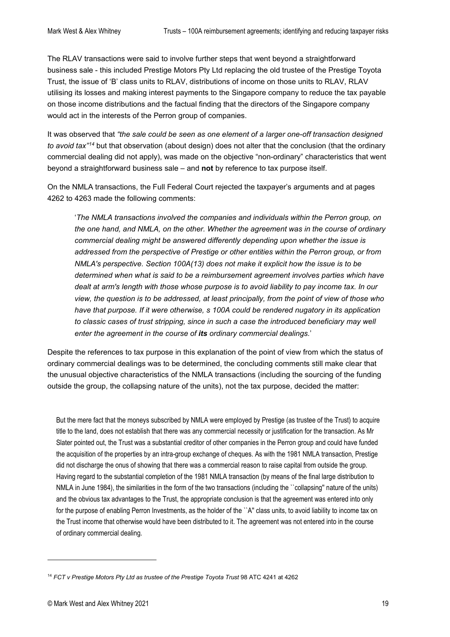The RLAV transactions were said to involve further steps that went beyond a straightforward business sale - this included Prestige Motors Pty Ltd replacing the old trustee of the Prestige Toyota Trust, the issue of 'B' class units to RLAV, distributions of income on those units to RLAV, RLAV utilising its losses and making interest payments to the Singapore company to reduce the tax payable on those income distributions and the factual finding that the directors of the Singapore company would act in the interests of the Perron group of companies.

It was observed that *"the sale could be seen as one element of a larger one-off transaction designed to avoid tax"[14](#page-18-0)* but that observation (about design) does not alter that the conclusion (that the ordinary commercial dealing did not apply), was made on the objective "non-ordinary" characteristics that went beyond a straightforward business sale – and **not** by reference to tax purpose itself.

On the NMLA transactions, the Full Federal Court rejected the taxpayer's arguments and at pages 4262 to 4263 made the following comments:

'*The NMLA transactions involved the companies and individuals within the Perron group, on the one hand, and NMLA, on the other. Whether the agreement was in the course of ordinary commercial dealing might be answered differently depending upon whether the issue is addressed from the perspective of Prestige or other entities within the Perron group, or from NMLA's perspective. Section 100A(13) does not make it explicit how the issue is to be determined when what is said to be a reimbursement agreement involves parties which have dealt at arm's length with those whose purpose is to avoid liability to pay income tax. In our view, the question is to be addressed, at least principally, from the point of view of those who have that purpose. If it were otherwise, s 100A could be rendered nugatory in its application*  to classic cases of trust stripping, since in such a case the introduced beneficiary may well *enter the agreement in the course of its ordinary commercial dealings.*'

Despite the references to tax purpose in this explanation of the point of view from which the status of ordinary commercial dealings was to be determined, the concluding comments still make clear that the unusual objective characteristics of the NMLA transactions (including the sourcing of the funding outside the group, the collapsing nature of the units), not the tax purpose, decided the matter:

But the mere fact that the moneys subscribed by NMLA were employed by Prestige (as trustee of the Trust) to acquire title to the land, does not establish that there was any commercial necessity or justification for the transaction. As Mr Slater pointed out, the Trust was a substantial creditor of other companies in the Perron group and could have funded the acquisition of the properties by an intra-group exchange of cheques. As with the 1981 NMLA transaction, Prestige did not discharge the onus of showing that there was a commercial reason to raise capital from outside the group. Having regard to the substantial completion of the 1981 NMLA transaction (by means of the final large distribution to NMLA in June 1984), the similarities in the form of the two transactions (including the ``collapsing'' nature of the units) and the obvious tax advantages to the Trust, the appropriate conclusion is that the agreement was entered into only for the purpose of enabling Perron Investments, as the holder of the ``A'' class units, to avoid liability to income tax on the Trust income that otherwise would have been distributed to it. The agreement was not entered into in the course of ordinary commercial dealing.

<span id="page-18-0"></span><sup>&</sup>lt;sup>14</sup> FCT v Prestige Motors Pty Ltd as trustee of the Prestige Toyota Trust 98 ATC 4241 at 4262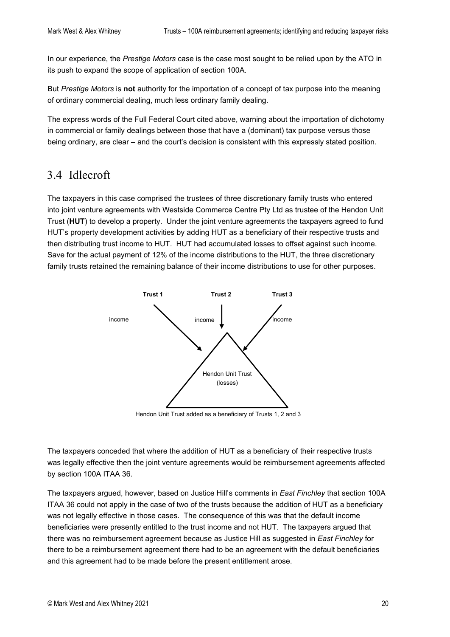In our experience, the *Prestige Motors* case is the case most sought to be relied upon by the ATO in its push to expand the scope of application of section 100A.

But *Prestige Motors* is **not** authority for the importation of a concept of tax purpose into the meaning of ordinary commercial dealing, much less ordinary family dealing.

The express words of the Full Federal Court cited above, warning about the importation of dichotomy in commercial or family dealings between those that have a (dominant) tax purpose versus those being ordinary, are clear – and the court's decision is consistent with this expressly stated position.

### <span id="page-19-0"></span>3.4 Idlecroft

The taxpayers in this case comprised the trustees of three discretionary family trusts who entered into joint venture agreements with Westside Commerce Centre Pty Ltd as trustee of the Hendon Unit Trust (**HUT**) to develop a property. Under the joint venture agreements the taxpayers agreed to fund HUT's property development activities by adding HUT as a beneficiary of their respective trusts and then distributing trust income to HUT. HUT had accumulated losses to offset against such income. Save for the actual payment of 12% of the income distributions to the HUT, the three discretionary family trusts retained the remaining balance of their income distributions to use for other purposes.



Hendon Unit Trust added as a beneficiary of Trusts 1, 2 and 3

The taxpayers conceded that where the addition of HUT as a beneficiary of their respective trusts was legally effective then the joint venture agreements would be reimbursement agreements affected by section 100A ITAA 36.

The taxpayers argued, however, based on Justice Hill's comments in *East Finchley* that section 100A ITAA 36 could not apply in the case of two of the trusts because the addition of HUT as a beneficiary was not legally effective in those cases. The consequence of this was that the default income beneficiaries were presently entitled to the trust income and not HUT. The taxpayers argued that there was no reimbursement agreement because as Justice Hill as suggested in *East Finchley* for there to be a reimbursement agreement there had to be an agreement with the default beneficiaries and this agreement had to be made before the present entitlement arose.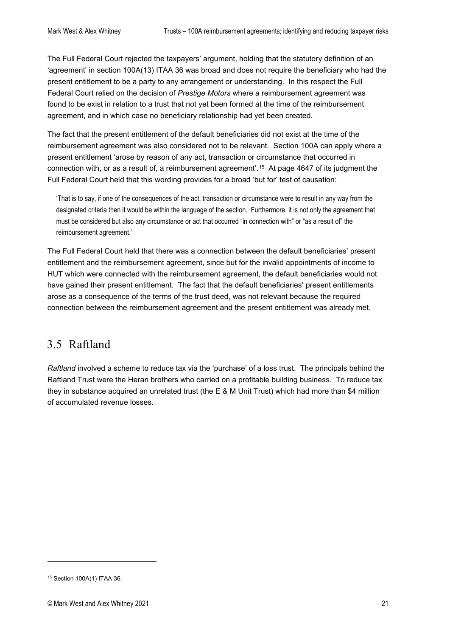The Full Federal Court rejected the taxpayers' argument, holding that the statutory definition of an 'agreement' in section 100A(13) ITAA 36 was broad and does not require the beneficiary who had the present entitlement to be a party to any arrangement or understanding. In this respect the Full Federal Court relied on the decision of *Prestige Motors* where a reimbursement agreement was found to be exist in relation to a trust that not yet been formed at the time of the reimbursement agreement, and in which case no beneficiary relationship had yet been created.

The fact that the present entitlement of the default beneficiaries did not exist at the time of the reimbursement agreement was also considered not to be relevant. Section 100A can apply where a present entitlement 'arose by reason of any act, transaction or circumstance that occurred in connection with, or as a result of, a reimbursement agreement'.[15](#page-20-1) At page 4647 of its judgment the Full Federal Court held that this wording provides for a broad 'but for' test of causation:

'That is to say, if one of the consequences of the act, transaction or circumstance were to result in any way from the designated criteria then it would be within the language of the section. Furthermore, it is not only the agreement that must be considered but also any circumstance or act that occurred "in connection with" or "as a result of" the reimbursement agreement.'

The Full Federal Court held that there was a connection between the default beneficiaries' present entitlement and the reimbursement agreement, since but for the invalid appointments of income to HUT which were connected with the reimbursement agreement, the default beneficiaries would not have gained their present entitlement. The fact that the default beneficiaries' present entitlements arose as a consequence of the terms of the trust deed, was not relevant because the required connection between the reimbursement agreement and the present entitlement was already met.

#### <span id="page-20-0"></span>3.5 Raftland

*Raftland* involved a scheme to reduce tax via the 'purchase' of a loss trust. The principals behind the Raftland Trust were the Heran brothers who carried on a profitable building business. To reduce tax they in substance acquired an unrelated trust (the E & M Unit Trust) which had more than \$4 million of accumulated revenue losses.

<span id="page-20-1"></span><sup>15</sup> Section 100A(1) ITAA 36.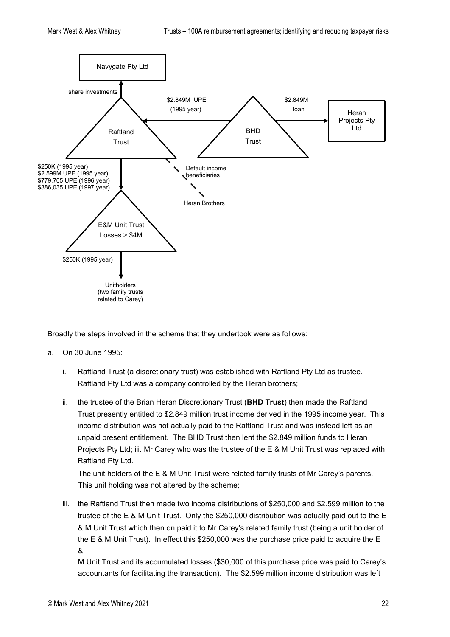

Broadly the steps involved in the scheme that they undertook were as follows:

- a. On 30 June 1995:
	- i. Raftland Trust (a discretionary trust) was established with Raftland Pty Ltd as trustee. Raftland Pty Ltd was a company controlled by the Heran brothers;
	- ii. the trustee of the Brian Heran Discretionary Trust (**BHD Trust**) then made the Raftland Trust presently entitled to \$2.849 million trust income derived in the 1995 income year. This income distribution was not actually paid to the Raftland Trust and was instead left as an unpaid present entitlement. The BHD Trust then lent the \$2.849 million funds to Heran Projects Pty Ltd; iii. Mr Carey who was the trustee of the E & M Unit Trust was replaced with Raftland Pty Ltd.

The unit holders of the E & M Unit Trust were related family trusts of Mr Carey's parents. This unit holding was not altered by the scheme;

iii. the Raftland Trust then made two income distributions of \$250,000 and \$2.599 million to the trustee of the E & M Unit Trust. Only the \$250,000 distribution was actually paid out to the E & M Unit Trust which then on paid it to Mr Carey's related family trust (being a unit holder of the E & M Unit Trust). In effect this \$250,000 was the purchase price paid to acquire the E &

M Unit Trust and its accumulated losses (\$30,000 of this purchase price was paid to Carey's accountants for facilitating the transaction). The \$2.599 million income distribution was left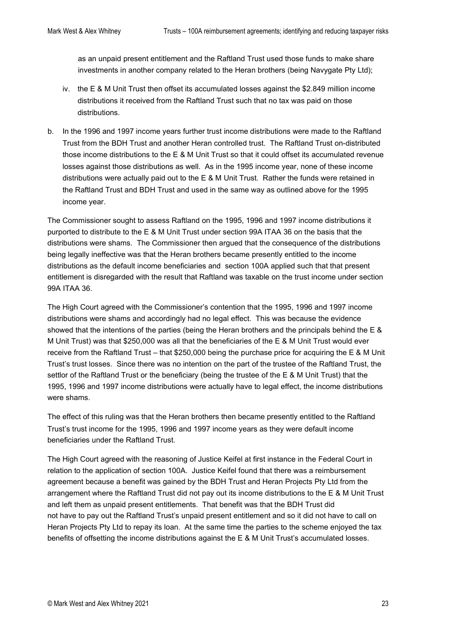as an unpaid present entitlement and the Raftland Trust used those funds to make share investments in another company related to the Heran brothers (being Navygate Pty Ltd);

- iv. the E & M Unit Trust then offset its accumulated losses against the \$2.849 million income distributions it received from the Raftland Trust such that no tax was paid on those distributions.
- b. In the 1996 and 1997 income years further trust income distributions were made to the Raftland Trust from the BDH Trust and another Heran controlled trust. The Raftland Trust on-distributed those income distributions to the E & M Unit Trust so that it could offset its accumulated revenue losses against those distributions as well. As in the 1995 income year, none of these income distributions were actually paid out to the E & M Unit Trust. Rather the funds were retained in the Raftland Trust and BDH Trust and used in the same way as outlined above for the 1995 income year.

The Commissioner sought to assess Raftland on the 1995, 1996 and 1997 income distributions it purported to distribute to the E & M Unit Trust under section 99A ITAA 36 on the basis that the distributions were shams. The Commissioner then argued that the consequence of the distributions being legally ineffective was that the Heran brothers became presently entitled to the income distributions as the default income beneficiaries and section 100A applied such that that present entitlement is disregarded with the result that Raftland was taxable on the trust income under section 99A ITAA 36.

The High Court agreed with the Commissioner's contention that the 1995, 1996 and 1997 income distributions were shams and accordingly had no legal effect. This was because the evidence showed that the intentions of the parties (being the Heran brothers and the principals behind the E & M Unit Trust) was that \$250,000 was all that the beneficiaries of the E & M Unit Trust would ever receive from the Raftland Trust – that \$250,000 being the purchase price for acquiring the E & M Unit Trust's trust losses. Since there was no intention on the part of the trustee of the Raftland Trust, the settlor of the Raftland Trust or the beneficiary (being the trustee of the E & M Unit Trust) that the 1995, 1996 and 1997 income distributions were actually have to legal effect, the income distributions were shams.

The effect of this ruling was that the Heran brothers then became presently entitled to the Raftland Trust's trust income for the 1995, 1996 and 1997 income years as they were default income beneficiaries under the Raftland Trust.

The High Court agreed with the reasoning of Justice Keifel at first instance in the Federal Court in relation to the application of section 100A. Justice Keifel found that there was a reimbursement agreement because a benefit was gained by the BDH Trust and Heran Projects Pty Ltd from the arrangement where the Raftland Trust did not pay out its income distributions to the E & M Unit Trust and left them as unpaid present entitlements. That benefit was that the BDH Trust did not have to pay out the Raftland Trust's unpaid present entitlement and so it did not have to call on Heran Projects Pty Ltd to repay its loan. At the same time the parties to the scheme enjoyed the tax benefits of offsetting the income distributions against the E & M Unit Trust's accumulated losses.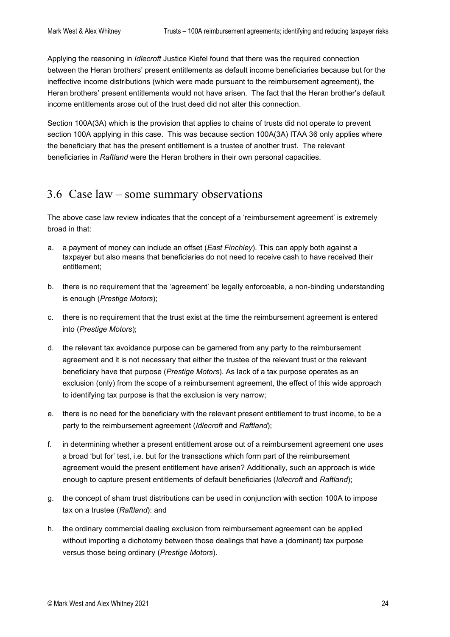Applying the reasoning in *Idlecroft* Justice Kiefel found that there was the required connection between the Heran brothers' present entitlements as default income beneficiaries because but for the ineffective income distributions (which were made pursuant to the reimbursement agreement), the Heran brothers' present entitlements would not have arisen. The fact that the Heran brother's default income entitlements arose out of the trust deed did not alter this connection.

Section 100A(3A) which is the provision that applies to chains of trusts did not operate to prevent section 100A applying in this case. This was because section 100A(3A) ITAA 36 only applies where the beneficiary that has the present entitlement is a trustee of another trust. The relevant beneficiaries in *Raftland* were the Heran brothers in their own personal capacities.

#### <span id="page-23-0"></span>3.6 Case law – some summary observations

The above case law review indicates that the concept of a 'reimbursement agreement' is extremely broad in that:

- a. a payment of money can include an offset (*East Finchley*). This can apply both against a taxpayer but also means that beneficiaries do not need to receive cash to have received their entitlement;
- b. there is no requirement that the 'agreement' be legally enforceable, a non-binding understanding is enough (*Prestige Motors*);
- c. there is no requirement that the trust exist at the time the reimbursement agreement is entered into (*Prestige Motors*);
- d. the relevant tax avoidance purpose can be garnered from any party to the reimbursement agreement and it is not necessary that either the trustee of the relevant trust or the relevant beneficiary have that purpose (*Prestige Motors*). As lack of a tax purpose operates as an exclusion (only) from the scope of a reimbursement agreement, the effect of this wide approach to identifying tax purpose is that the exclusion is very narrow;
- e. there is no need for the beneficiary with the relevant present entitlement to trust income, to be a party to the reimbursement agreement (*Idlecroft* and *Raftland*);
- f. in determining whether a present entitlement arose out of a reimbursement agreement one uses a broad 'but for' test, i.e. but for the transactions which form part of the reimbursement agreement would the present entitlement have arisen? Additionally, such an approach is wide enough to capture present entitlements of default beneficiaries (*Idlecroft* and *Raftland*);
- g. the concept of sham trust distributions can be used in conjunction with section 100A to impose tax on a trustee (*Raftland*): and
- h. the ordinary commercial dealing exclusion from reimbursement agreement can be applied without importing a dichotomy between those dealings that have a (dominant) tax purpose versus those being ordinary (*Prestige Motors*).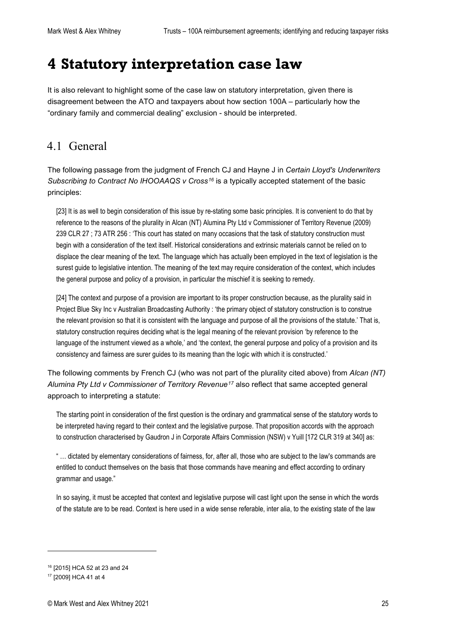# <span id="page-24-0"></span>**4 Statutory interpretation case law**

It is also relevant to highlight some of the case law on statutory interpretation, given there is disagreement between the ATO and taxpayers about how section 100A – particularly how the "ordinary family and commercial dealing" exclusion - should be interpreted.

#### <span id="page-24-1"></span>4.1 General

The following passage from the judgment of French CJ and Hayne J in *Certain Lloyd's Underwriters Subscribing to Contract No IHOOAAQS v Cross[16](#page-24-2)* is a typically accepted statement of the basic principles:

[23] It is as well to begin consideration of this issue by re-stating some basic principles. It is convenient to do that by reference to the reasons of the plurality in Alcan (NT) Alumina Pty Ltd v Commissioner of Territory Revenue (2009) 239 CLR 27 ; 73 ATR 256 : 'This court has stated on many occasions that the task of statutory construction must begin with a consideration of the text itself. Historical considerations and extrinsic materials cannot be relied on to displace the clear meaning of the text. The language which has actually been employed in the text of legislation is the surest guide to legislative intention. The meaning of the text may require consideration of the context, which includes the general purpose and policy of a provision, in particular the mischief it is seeking to remedy.

[24] The context and purpose of a provision are important to its proper construction because, as the plurality said in Project Blue Sky Inc v Australian Broadcasting Authority : 'the primary object of statutory construction is to construe the relevant provision so that it is consistent with the language and purpose of all the provisions of the statute.' That is, statutory construction requires deciding what is the legal meaning of the relevant provision 'by reference to the language of the instrument viewed as a whole,' and 'the context, the general purpose and policy of a provision and its consistency and fairness are surer guides to its meaning than the logic with which it is constructed.'

The following comments by French CJ (who was not part of the plurality cited above) from *Alcan (NT) Alumina Pty Ltd v Commissioner of Territory Revenue[17](#page-24-3)* also reflect that same accepted general approach to interpreting a statute:

The starting point in consideration of the first question is the ordinary and grammatical sense of the statutory words to be interpreted having regard to their context and the legislative purpose. That proposition accords with the approach to construction characterised by Gaudron J in Corporate Affairs Commission (NSW) v Yuill [172 CLR 319 at 340] as:

" … dictated by elementary considerations of fairness, for, after all, those who are subject to the law's commands are entitled to conduct themselves on the basis that those commands have meaning and effect according to ordinary grammar and usage."

In so saying, it must be accepted that context and legislative purpose will cast light upon the sense in which the words of the statute are to be read. Context is here used in a wide sense referable, inter alia, to the existing state of the law

<span id="page-24-2"></span><sup>16</sup> [2015] HCA 52 at 23 and 24

<span id="page-24-3"></span><sup>17</sup> [2009] HCA 41 at 4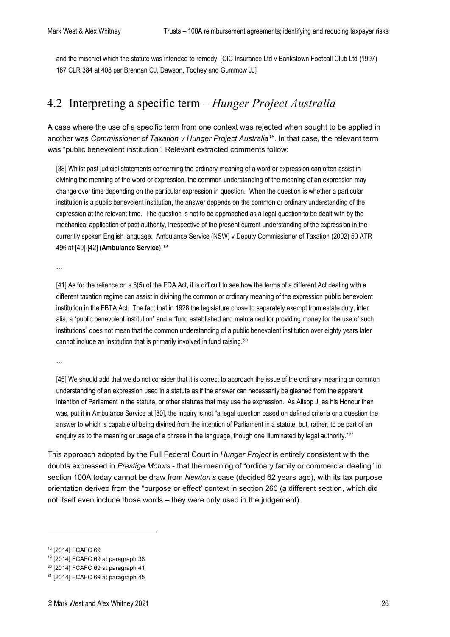and the mischief which the statute was intended to remedy. [\[CIC Insurance Ltd v Bankstown Football Club Ltd \(1997\)](https://www.checkpointau.com.au/maf/app/fulldocument?startChunk=1&epos=1&tocGuid=AUNZ_CASES_TOC%7C%7CI732b514a5af211e28e86d4295b0ab413&tocDs=AUNZ_CASES_TOC&pcs=AUNZ_CA_TAXRP&bcguid=AUNZ_TOC%7C%7CI497a923ba6b03f27ba6679c9326d32db&endChunk=1&srguid=i0ad62903000001751ee1d3964cd56676&isTocNav=true&predefinedRelationshipsType=fullDocRetrieval&docguid=I9fedd3e39d6b11e0a619d462427863b2&ao=#FTN-6)  187 CLR 384 at 408 per Brennan [CJ, Dawson, Toohey and Gummow](https://www.checkpointau.com.au/maf/app/fulldocument?startChunk=1&epos=1&tocGuid=AUNZ_CASES_TOC%7C%7CI732b514a5af211e28e86d4295b0ab413&tocDs=AUNZ_CASES_TOC&pcs=AUNZ_CA_TAXRP&bcguid=AUNZ_TOC%7C%7CI497a923ba6b03f27ba6679c9326d32db&endChunk=1&srguid=i0ad62903000001751ee1d3964cd56676&isTocNav=true&predefinedRelationshipsType=fullDocRetrieval&docguid=I9fedd3e39d6b11e0a619d462427863b2&ao=#FTN-6) JJ]

#### <span id="page-25-0"></span>4.2 Interpreting a specific term – *Hunger Project Australia*

A case where the use of a specific term from one context was rejected when sought to be applied in another was *Commissioner of Taxation v Hunger Project Australia[18](#page-25-1)*. In that case, the relevant term was "public benevolent institution". Relevant extracted comments follow:

[38] Whilst past judicial statements concerning the ordinary meaning of a word or expression can often assist in divining the meaning of the word or expression, the common understanding of the meaning of an expression may change over time depending on the particular expression in question. When the question is whether a particular institution is a public benevolent institution, the answer depends on the common or ordinary understanding of the expression at the relevant time. The question is not to be approached as a legal question to be dealt with by the mechanical application of past authority, irrespective of the present current understanding of the expression in the currently spoken English language: Ambulance Service (NSW) v Deputy Commissioner of Taxation (2002) 50 ATR 496 at [40]-[42] (**Ambulance Service**).*[19](#page-25-2)*

…

[41] As for the reliance on s 8(5) of the EDA Act, it is difficult to see how the terms of a different Act dealing with a different taxation regime can assist in divining the common or ordinary meaning of the expression public benevolent institution in the FBTA Act. The fact that in 1928 the legislature chose to separately exempt from estate duty, inter alia, a "public benevolent institution" and a "fund established and maintained for providing money for the use of such institutions" does not mean that the common understanding of a public benevolent institution over eighty years later cannot include an institution that is primarily involved in fund raising.*[20](#page-25-3)*

…

[45] We should add that we do not consider that it is correct to approach the issue of the ordinary meaning or common understanding of an expression used in a statute as if the answer can necessarily be gleaned from the apparent intention of Parliament in the statute, or other statutes that may use the expression. As Allsop J, as his Honour then was, put it in Ambulance Service at [80], the inquiry is not "a legal question based on defined criteria or a question the answer to which is capable of being divined from the intention of Parliament in a statute, but, rather, to be part of an enquiry as to the meaning or usage of a phrase in the language, though one illuminated by legal authority."*[21](#page-25-4)*

This approach adopted by the Full Federal Court in *Hunger Project* is entirely consistent with the doubts expressed in *Prestige Motors* - that the meaning of "ordinary family or commercial dealing" in section 100A today cannot be draw from *Newton's* case (decided 62 years ago), with its tax purpose orientation derived from the "purpose or effect' context in section 260 (a different section, which did not itself even include those words – they were only used in the judgement).

<span id="page-25-1"></span><sup>18</sup> [2014] FCAFC 69

<span id="page-25-2"></span><sup>19</sup> [2014] FCAFC 69 at paragraph 38

<span id="page-25-3"></span><sup>20</sup> [2014] FCAFC 69 at paragraph 41

<span id="page-25-4"></span> $21$  [2014] FCAFC 69 at paragraph 45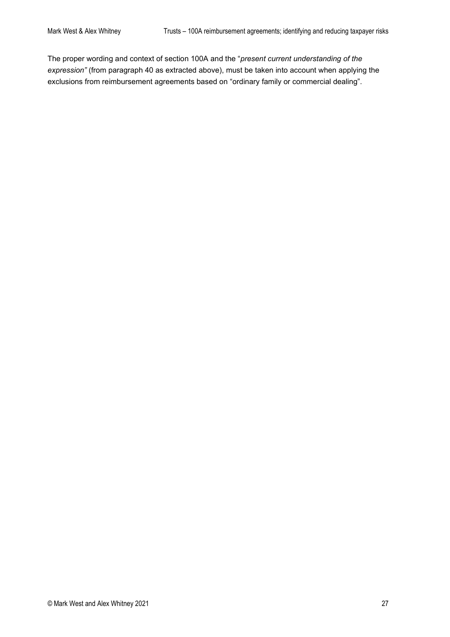The proper wording and context of section 100A and the "*present current understanding of the expression"* (from paragraph 40 as extracted above), must be taken into account when applying the exclusions from reimbursement agreements based on "ordinary family or commercial dealing".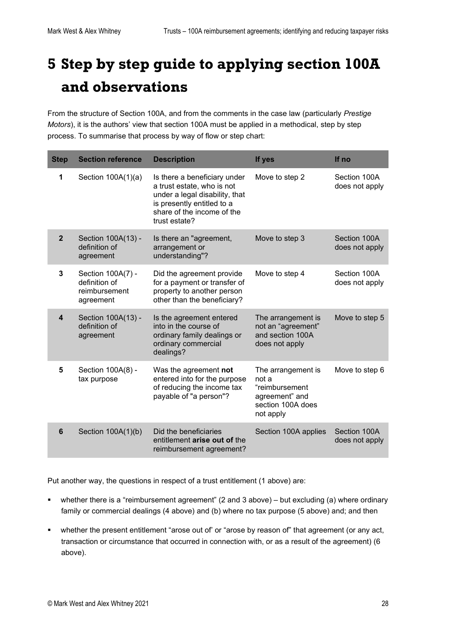# <span id="page-27-0"></span>**5 Step by step guide to applying section 100A and observations**

From the structure of Section 100A, and from the comments in the case law (particularly *Prestige Motors*), it is the authors' view that section 100A must be applied in a methodical, step by step process. To summarise that process by way of flow or step chart:

| <b>Step</b>    | <b>Section reference</b>                                         | <b>Description</b>                                                                                                                                                        | If yes                                                                                            | If no                          |
|----------------|------------------------------------------------------------------|---------------------------------------------------------------------------------------------------------------------------------------------------------------------------|---------------------------------------------------------------------------------------------------|--------------------------------|
| 1              | Section 100A(1)(a)                                               | Is there a beneficiary under<br>a trust estate, who is not<br>under a legal disability, that<br>is presently entitled to a<br>share of the income of the<br>trust estate? | Move to step 2                                                                                    | Section 100A<br>does not apply |
| $\overline{2}$ | Section 100A(13) -<br>definition of<br>agreement                 | Is there an "agreement,<br>arrangement or<br>understanding"?                                                                                                              | Move to step 3                                                                                    | Section 100A<br>does not apply |
| 3              | Section 100A(7) -<br>definition of<br>reimbursement<br>agreement | Did the agreement provide<br>for a payment or transfer of<br>property to another person<br>other than the beneficiary?                                                    | Move to step 4                                                                                    | Section 100A<br>does not apply |
| 4              | Section 100A(13) -<br>definition of<br>agreement                 | Is the agreement entered<br>into in the course of<br>ordinary family dealings or<br>ordinary commercial<br>dealings?                                                      | The arrangement is<br>not an "agreement"<br>and section 100A<br>does not apply                    | Move to step 5                 |
| 5              | Section 100A(8) -<br>tax purpose                                 | Was the agreement not<br>entered into for the purpose<br>of reducing the income tax<br>payable of "a person"?                                                             | The arrangement is<br>not a<br>"reimbursement<br>agreement" and<br>section 100A does<br>not apply | Move to step 6                 |
| 6              | Section 100A(1)(b)                                               | Did the beneficiaries<br>entitlement arise out of the<br>reimbursement agreement?                                                                                         | Section 100A applies                                                                              | Section 100A<br>does not apply |

Put another way, the questions in respect of a trust entitlement (1 above) are:

- whether there is a "reimbursement agreement" (2 and 3 above) but excluding (a) where ordinary family or commercial dealings (4 above) and (b) where no tax purpose (5 above) and; and then
- whether the present entitlement "arose out of' or "arose by reason of" that agreement (or any act, transaction or circumstance that occurred in connection with, or as a result of the agreement) (6 above).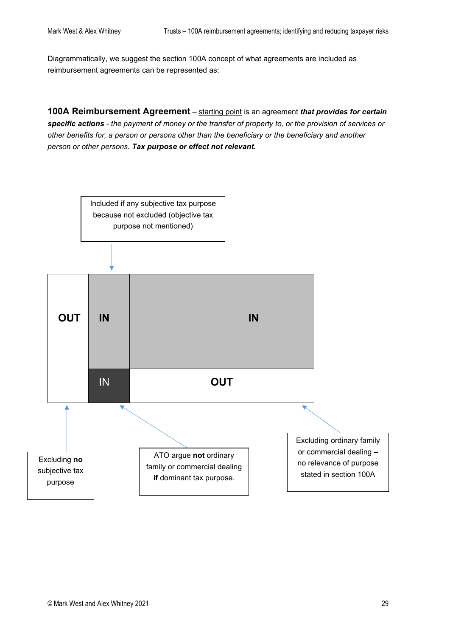Diagrammatically, we suggest the section 100A concept of what agreements are included as reimbursement agreements can be represented as:

**100A Reimbursement Agreement** – starting point is an agreement *that [provides](http://classic.austlii.edu.au/au/legis/cth/consol_act/itaa1936240/s317.html#provide) for certain specific actions - the payment of money or the [transfer](http://classic.austlii.edu.au/au/legis/cth/consol_act/itaa1936240/s102aab.html#transfer) of [property](http://classic.austlii.edu.au/au/legis/cth/consol_act/itaa1936240/s100a.html#property) to, or the provision of [services](http://classic.austlii.edu.au/au/legis/cth/consol_act/itaa1936240/s102aab.html#services) or other benefits for, a [person](http://classic.austlii.edu.au/au/legis/cth/consol_act/itaa1936240/s202a.html#person) or [persons](http://classic.austlii.edu.au/au/legis/cth/consol_act/itaa1936240/s202a.html#person) other than the beneficiary or the beneficiary and another [person](http://classic.austlii.edu.au/au/legis/cth/consol_act/itaa1936240/s202a.html#person) or other [persons.](http://classic.austlii.edu.au/au/legis/cth/consol_act/itaa1936240/s202a.html#person) Tax purpose or effect not relevant.*

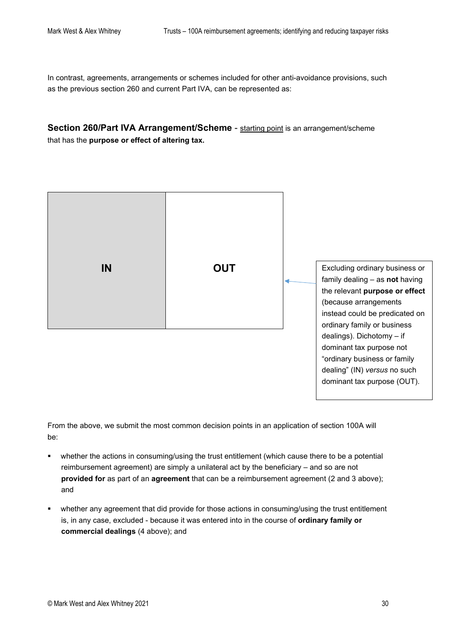In contrast, agreements, arrangements or schemes included for other anti-avoidance provisions, such as the previous section 260 and current Part IVA, can be represented as:

**Section 260/Part IVA Arrangement/Scheme** - starting point is an arrangement/scheme that has the **purpose or effect of altering tax.**



From the above, we submit the most common decision points in an application of section 100A will be:

- whether the actions in consuming/using the trust entitlement (which cause there to be a potential reimbursement agreement) are simply a unilateral act by the beneficiary – and so are not **provided for** as part of an **agreement** that can be a reimbursement agreement (2 and 3 above); and
- whether any agreement that did provide for those actions in consuming/using the trust entitlement is, in any case, excluded - because it was entered into in the course of **ordinary family or commercial dealings** (4 above); and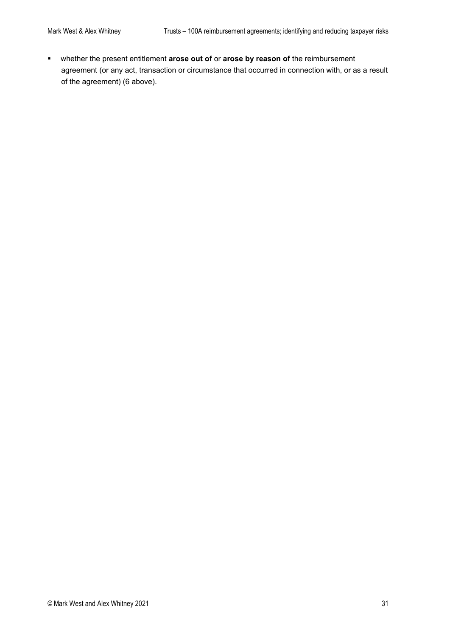whether the present entitlement **arose out of** or **arose by reason of** the reimbursement agreement (or any act, transaction or circumstance that occurred in connection with, or as a result of the agreement) (6 above).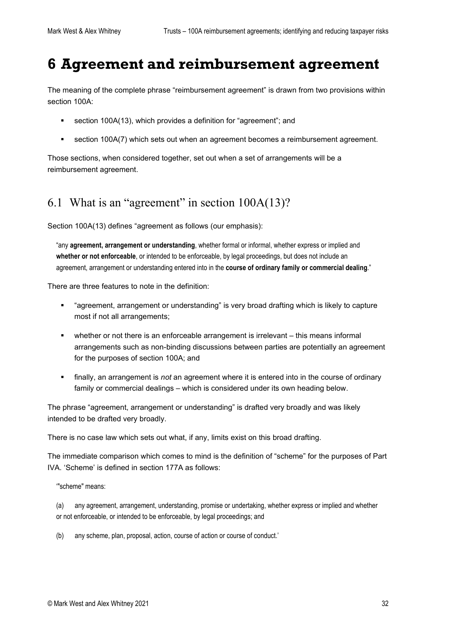## <span id="page-31-0"></span>**6 Agreement and reimbursement agreement**

The meaning of the complete phrase "reimbursement agreement" is drawn from two provisions within section 100A:

- section 100A(13), which provides a definition for "agreement"; and
- section 100A(7) which sets out when an agreement becomes a reimbursement agreement.

Those sections, when considered together, set out when a set of arrangements will be a reimbursement agreement.

### <span id="page-31-1"></span>6.1 What is an "agreement" in section 100A(13)?

Section 100A(13) defines "agreement as follows (our emphasis):

"any **agreement, arrangement or understanding**, whether formal or informal, whether express or implied and **whether or not enforceable**, or intended to be enforceable, by legal proceedings, but does not include an agreement, arrangement or understanding entered into in the **course of ordinary family or commercial dealing**."

There are three features to note in the definition:

- "agreement, arrangement or understanding" is very broad drafting which is likely to capture most if not all arrangements;
- whether or not there is an enforceable arrangement is irrelevant this means informal arrangements such as non-binding discussions between parties are potentially an agreement for the purposes of section 100A; and
- finally, an arrangement is *not* an agreement where it is entered into in the course of ordinary family or commercial dealings – which is considered under its own heading below.

The phrase "agreement, arrangement or understanding" is drafted very broadly and was likely intended to be drafted very broadly.

There is no case law which sets out what, if any, limits exist on this broad drafting.

The immediate comparison which comes to mind is the definition of "scheme" for the purposes of Part IVA. 'Scheme' is defined in section 177A as follows:

'"scheme" means:

(a) any agreement, arrangement, understanding, promise or undertaking, whether express or implied and whether or not enforceable, or intended to be enforceable, by legal proceedings; and

(b) any scheme, plan, proposal, action, course of action or course of conduct.'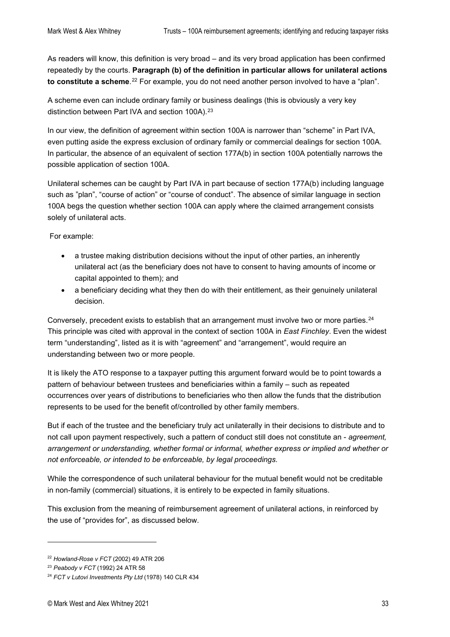As readers will know, this definition is very broad – and its very broad application has been confirmed repeatedly by the courts. **Paragraph (b) of the definition in particular allows for unilateral actions to constitute a scheme**.[22](#page-32-0) For example, you do not need another person involved to have a "plan".

A scheme even can include ordinary family or business dealings (this is obviously a very key distinction between Part IVA and section 100A).<sup>[23](#page-32-1)</sup>

In our view, the definition of agreement within section 100A is narrower than "scheme" in Part IVA, even putting aside the express exclusion of ordinary family or commercial dealings for section 100A. In particular, the absence of an equivalent of section 177A(b) in section 100A potentially narrows the possible application of section 100A.

Unilateral schemes can be caught by Part IVA in part because of section 177A(b) including language such as "plan", "course of action" or "course of conduct". The absence of similar language in section 100A begs the question whether section 100A can apply where the claimed arrangement consists solely of unilateral acts.

For example:

- a trustee making distribution decisions without the input of other parties, an inherently unilateral act (as the beneficiary does not have to consent to having amounts of income or capital appointed to them); and
- a beneficiary deciding what they then do with their entitlement, as their genuinely unilateral decision.

Conversely, precedent exists to establish that an arrangement must involve two or more parties.[24](#page-32-2) This principle was cited with approval in the context of section 100A in *East Finchley*. Even the widest term "understanding", listed as it is with "agreement" and "arrangement", would require an understanding between two or more people.

It is likely the ATO response to a taxpayer putting this argument forward would be to point towards a pattern of behaviour between trustees and beneficiaries within a family – such as repeated occurrences over years of distributions to beneficiaries who then allow the funds that the distribution represents to be used for the benefit of/controlled by other family members.

But if each of the trustee and the beneficiary truly act unilaterally in their decisions to distribute and to not call upon payment respectively, such a pattern of conduct still does not constitute an - *agreement, arrangement or understanding, whether formal or informal, whether express or implied and whether or not enforceable, or intended to be enforceable, by legal proceedings.*

While the correspondence of such unilateral behaviour for the mutual benefit would not be creditable in non-family (commercial) situations, it is entirely to be expected in family situations.

This exclusion from the meaning of reimbursement agreement of unilateral actions, in reinforced by the use of "provides for", as discussed below.

<span id="page-32-0"></span><sup>22</sup> *Howland-Rose v FCT* (2002) 49 ATR 206

<span id="page-32-1"></span><sup>23</sup> *Peabody v FCT* (1992) 24 ATR 58

<span id="page-32-2"></span><sup>24</sup> *FCT v Lutovi Investments Pty Ltd* (1978) 140 CLR 434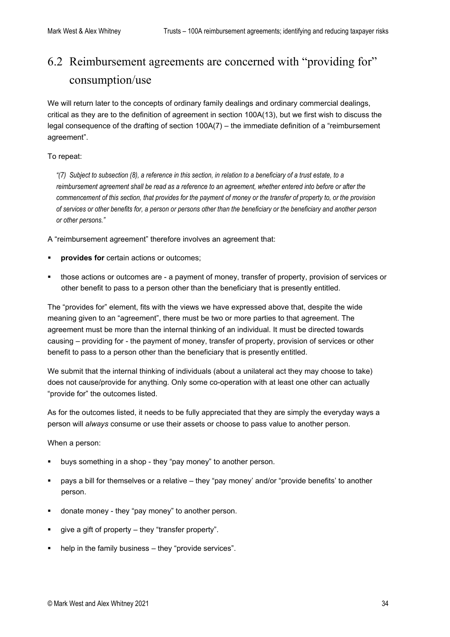# <span id="page-33-0"></span>6.2 Reimbursement agreements are concerned with "providing for" consumption/use

We will return later to the concepts of ordinary family dealings and ordinary commercial dealings, critical as they are to the definition of agreement in section 100A(13), but we first wish to discuss the legal consequence of the drafting of section 100A(7) – the immediate definition of a "reimbursement agreement".

#### To repeat:

*"(7) Subject t[o subsection](http://classic.austlii.edu.au/au/legis/cth/consol_act/itaa1936240/s102aab.html#subsection) (8), a reference in this section, in relation to a beneficiary of a [trust estate,](http://classic.austlii.edu.au/au/legis/cth/consol_act/itaa1936240/s102aab.html#trust_estate) to a reimbursemen[t agreement](http://classic.austlii.edu.au/au/legis/cth/consol_act/itaa1936240/s100a.html#agreement) shall be read as a reference to a[n agreement,](http://classic.austlii.edu.au/au/legis/cth/consol_act/itaa1936240/s100a.html#agreement) whether entered into before or after the commencement of this section, tha[t provides](http://classic.austlii.edu.au/au/legis/cth/consol_act/itaa1936240/s317.html#provide) for the payment of money or th[e transfer](http://classic.austlii.edu.au/au/legis/cth/consol_act/itaa1936240/s102aab.html#transfer) o[f property](http://classic.austlii.edu.au/au/legis/cth/consol_act/itaa1936240/s100a.html#property) to, or the provision o[f services](http://classic.austlii.edu.au/au/legis/cth/consol_act/itaa1936240/s102aab.html#services) or other benefits for, [a person](http://classic.austlii.edu.au/au/legis/cth/consol_act/itaa1936240/s202a.html#person) o[r persons](http://classic.austlii.edu.au/au/legis/cth/consol_act/itaa1936240/s202a.html#person) other than the beneficiary or the beneficiary and another [person](http://classic.austlii.edu.au/au/legis/cth/consol_act/itaa1936240/s202a.html#person) or other [persons.](http://classic.austlii.edu.au/au/legis/cth/consol_act/itaa1936240/s202a.html#person)"*

A "reimbursement agreement" therefore involves an agreement that:

- **provides for** certain actions or outcomes;
- those actions or outcomes are a payment of money, transfer of property, provision of services or other benefit to pass to a person other than the beneficiary that is presently entitled.

The "provides for" element, fits with the views we have expressed above that, despite the wide meaning given to an "agreement", there must be two or more parties to that agreement. The agreement must be more than the internal thinking of an individual. It must be directed towards causing – providing for - the payment of money, transfer of property, provision of services or other benefit to pass to a person other than the beneficiary that is presently entitled.

We submit that the internal thinking of individuals (about a unilateral act they may choose to take) does not cause/provide for anything. Only some co-operation with at least one other can actually "provide for" the outcomes listed.

As for the outcomes listed, it needs to be fully appreciated that they are simply the everyday ways a person will *always* consume or use their assets or choose to pass value to another person.

When a person:

- buys something in a shop they "pay money" to another person.
- pays a bill for themselves or a relative they "pay money' and/or "provide benefits' to another person.
- donate money they "pay money" to another person.
- give a gift of property they "transfer property".
- help in the family business they "provide services".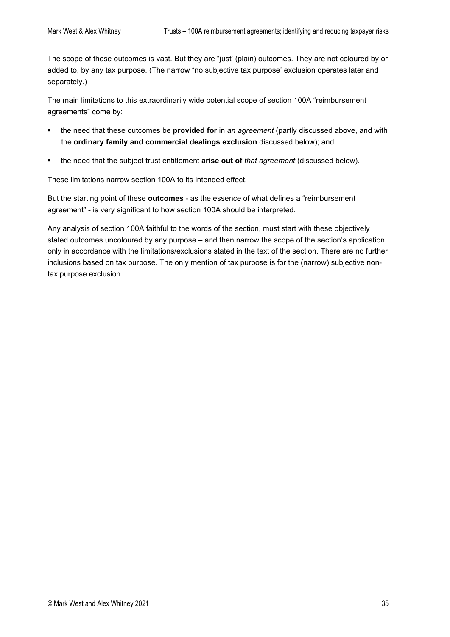The scope of these outcomes is vast. But they are "just' (plain) outcomes. They are not coloured by or added to, by any tax purpose. (The narrow "no subjective tax purpose' exclusion operates later and separately.)

The main limitations to this extraordinarily wide potential scope of section 100A "reimbursement agreements" come by:

- the need that these outcomes be **provided for** in *an agreement* (partly discussed above, and with the **ordinary family and commercial dealings exclusion** discussed below); and
- the need that the subject trust entitlement **arise out of** *that agreement* (discussed below).

These limitations narrow section 100A to its intended effect.

But the starting point of these **outcomes** - as the essence of what defines a "reimbursement agreement" - is very significant to how section 100A should be interpreted.

Any analysis of section 100A faithful to the words of the section, must start with these objectively stated outcomes uncoloured by any purpose – and then narrow the scope of the section's application only in accordance with the limitations/exclusions stated in the text of the section. There are no further inclusions based on tax purpose. The only mention of tax purpose is for the (narrow) subjective nontax purpose exclusion.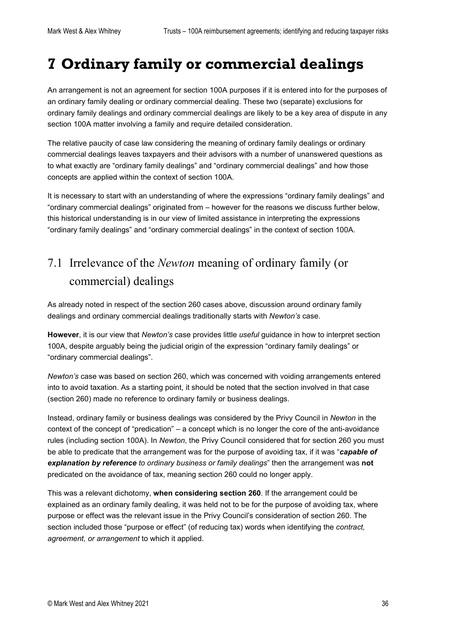# <span id="page-35-0"></span>**7 Ordinary family or commercial dealings**

An arrangement is not an agreement for section 100A purposes if it is entered into for the purposes of an ordinary family dealing or ordinary commercial dealing. These two (separate) exclusions for ordinary family dealings and ordinary commercial dealings are likely to be a key area of dispute in any section 100A matter involving a family and require detailed consideration.

The relative paucity of case law considering the meaning of ordinary family dealings or ordinary commercial dealings leaves taxpayers and their advisors with a number of unanswered questions as to what exactly are "ordinary family dealings" and "ordinary commercial dealings" and how those concepts are applied within the context of section 100A.

It is necessary to start with an understanding of where the expressions "ordinary family dealings" and "ordinary commercial dealings" originated from – however for the reasons we discuss further below, this historical understanding is in our view of limited assistance in interpreting the expressions "ordinary family dealings" and "ordinary commercial dealings" in the context of section 100A.

### <span id="page-35-1"></span>7.1 Irrelevance of the *Newton* meaning of ordinary family (or commercial) dealings

As already noted in respect of the section 260 cases above, discussion around ordinary family dealings and ordinary commercial dealings traditionally starts with *Newton's* case.

**However**, it is our view that *Newton's* case provides little *useful* guidance in how to interpret section 100A, despite arguably being the judicial origin of the expression "ordinary family dealings" or "ordinary commercial dealings".

*Newton's* case was based on section 260, which was concerned with voiding arrangements entered into to avoid taxation. As a starting point, it should be noted that the section involved in that case (section 260) made no reference to ordinary family or business dealings.

Instead, ordinary family or business dealings was considered by the Privy Council in *Newton* in the context of the concept of "predication" – a concept which is no longer the core of the anti-avoidance rules (including section 100A). In *Newton*, the Privy Council considered that for section 260 you must be able to predicate that the arrangement was for the purpose of avoiding tax, if it was "*capable of explanation by reference to ordinary business or family dealings*" then the arrangement was **not** predicated on the avoidance of tax, meaning section 260 could no longer apply.

This was a relevant dichotomy, **when considering section 260**. If the arrangement could be explained as an ordinary family dealing, it was held not to be for the purpose of avoiding tax, where purpose or effect was the relevant issue in the Privy Council's consideration of section 260. The section included those "purpose or effect" (of reducing tax) words when identifying the *contract, [agreement,](http://classic.austlii.edu.au/au/legis/cth/consol_act/itaa1936240/s159gp.html#agreement) or arrangement* to which it applied.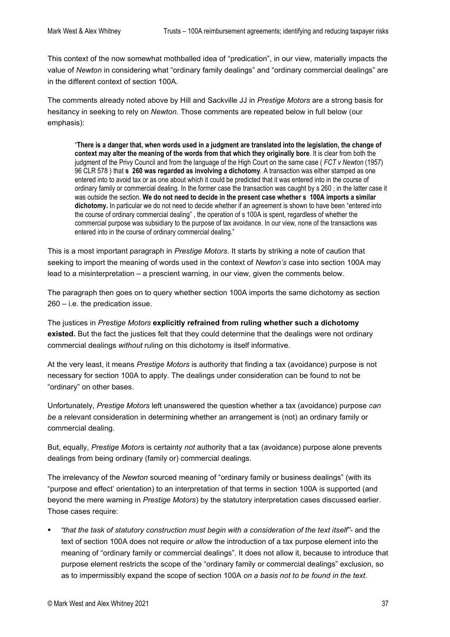This context of the now somewhat mothballed idea of "predication", in our view, materially impacts the value of *Newton* in considering what "ordinary family dealings" and "ordinary commercial dealings" are in the different context of section 100A.

The comments already noted above by Hill and Sackville JJ in *Prestige Motors* are a strong basis for hesitancy in seeking to rely on *Newton*. Those comments are repeated below in full below (our emphasis):

"**There is a danger that, when words used in a judgment are translated into the legislation, the change of context may alter the meaning of the words from that which they originally bore**. It is clear from both the judgment of the Privy Council and from the language of the High Court on the same case ( *FCT v Newton* (1957) 96 CLR 578 ) that **s 260 was regarded as involving a dichotomy**. A transaction was either stamped as one entered into to avoid tax or as one about which it could be predicted that it was entered into in the course of ordinary family or commercial dealing. In the former case the transaction was caught by s 260 ; in the latter case it was outside the section. **We do not need to decide in the present case whether s 100A imports a similar dichotomy.** In particular we do not need to decide whether if an agreement is shown to have been "entered into the course of ordinary commercial dealing" , the operation of s 100A is spent, regardless of whether the commercial purpose was subsidiary to the purpose of tax avoidance. In our view, none of the transactions was entered into in the course of ordinary commercial dealing."

This is a most important paragraph in *Prestige Motors*. It starts by striking a note of caution that seeking to import the meaning of words used in the context of *Newton's* case into section 100A may lead to a misinterpretation – a prescient warning, in our view, given the comments below.

The paragraph then goes on to query whether section 100A imports the same dichotomy as section 260 – i.e. the predication issue.

The justices in *Prestige Motors* **explicitly refrained from ruling whether such a dichotomy existed.** But the fact the justices felt that they could determine that the dealings were not ordinary commercial dealings *without* ruling on this dichotomy is itself informative.

At the very least, it means *Prestige Motors* is authority that finding a tax (avoidance) purpose is not necessary for section 100A to apply. The dealings under consideration can be found to not be "ordinary" on other bases.

Unfortunately, *Prestige Motors* left unanswered the question whether a tax (avoidance) purpose *can be* a relevant consideration in determining whether an arrangement is (not) an ordinary family or commercial dealing.

But, equally, *Prestige Motors* is certainty *not* authority that a tax (avoidance) purpose alone prevents dealings from being ordinary (family or) commercial dealings.

The irrelevancy of the *Newton* sourced meaning of "ordinary family or business dealings" (with its "purpose and effect' orientation) to an interpretation of that terms in section 100A is supported (and beyond the mere warning in *Prestige Motors*) by the statutory interpretation cases discussed earlier. Those cases require:

 *"that the task of statutory construction must begin with a consideration of the text itself"-* and the text of section 100A does not require *or allow* the introduction of a tax purpose element into the meaning of "ordinary family or commercial dealings". It does not allow it, because to introduce that purpose element restricts the scope of the "ordinary family or commercial dealings" exclusion, so as to impermissibly expand the scope of section 100A *on a basis not to be found in the text*.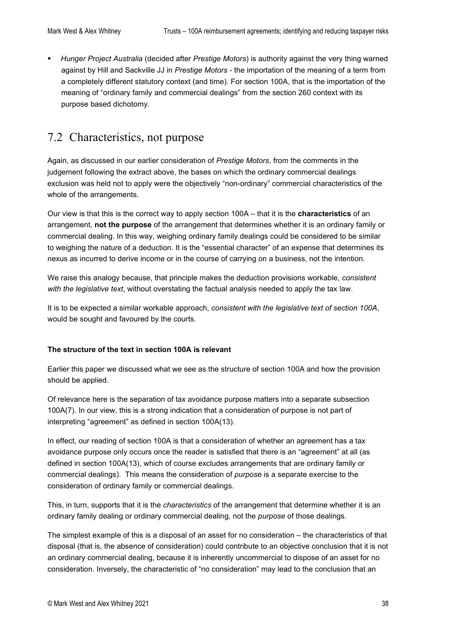*Hunger Project Australia* (decided after *Prestige Motors*) is authority against the very thing warned against by Hill and Sackville JJ in *Prestige Motors* - the importation of the meaning of a term from a completely different statutory context (and time). For section 100A, that is the importation of the meaning of "ordinary family and commercial dealings" from the section 260 context with its purpose based dichotomy.

### <span id="page-37-0"></span>7.2 Characteristics, not purpose

Again, as discussed in our earlier consideration of *Prestige Motors*, from the comments in the judgement following the extract above, the bases on which the ordinary commercial dealings exclusion was held not to apply were the objectively "non-ordinary" commercial characteristics of the whole of the arrangements.

Our view is that this is the correct way to apply section 100A – that it is the **characteristics** of an arrangement, **not the purpose** of the arrangement that determines whether it is an ordinary family or commercial dealing. In this way, weighing ordinary family dealings could be considered to be similar to weighing the nature of a deduction. It is the "essential character" of an expense that determines its nexus as incurred to derive income or in the course of carrying on a business, not the intention.

We raise this analogy because, that principle makes the deduction provisions workable, *consistent with the legislative text*, without overstating the factual analysis needed to apply the tax law.

It is to be expected a similar workable approach, *consistent with the legislative text of section 100A*, would be sought and favoured by the courts.

#### **The structure of the text in section 100A is relevant**

Earlier this paper we discussed what we see as the structure of section 100A and how the provision should be applied.

Of relevance here is the separation of tax avoidance purpose matters into a separate subsection 100A(7). In our view, this is a strong indication that a consideration of purpose is not part of interpreting "agreement" as defined in section 100A(13).

In effect, our reading of section 100A is that a consideration of whether an agreement has a tax avoidance purpose only occurs once the reader is satisfied that there is an "agreement" at all (as defined in section 100A(13), which of course excludes arrangements that are ordinary family or commercial dealings). This means the consideration of *purpose* is a separate exercise to the consideration of ordinary family or commercial dealings.

This, in turn, supports that it is the *characteristics* of the arrangement that determine whether it is an ordinary family dealing or ordinary commercial dealing, not the *purpose* of those dealings.

The simplest example of this is a disposal of an asset for no consideration – the characteristics of that disposal (that is, the absence of consideration) could contribute to an objective conclusion that it is not an ordinary commercial dealing, because it is inherently uncommercial to dispose of an asset for no consideration. Inversely, the characteristic of "no consideration" may lead to the conclusion that an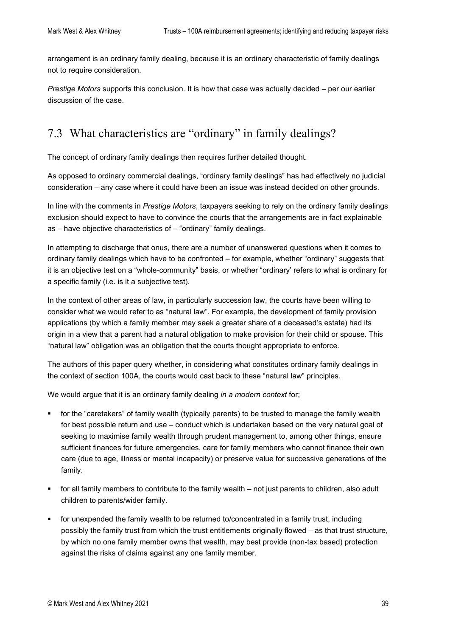arrangement is an ordinary family dealing, because it is an ordinary characteristic of family dealings not to require consideration.

*Prestige Motors* supports this conclusion. It is how that case was actually decided – per our earlier discussion of the case.

### <span id="page-38-0"></span>7.3 What characteristics are "ordinary" in family dealings?

The concept of ordinary family dealings then requires further detailed thought.

As opposed to ordinary commercial dealings, "ordinary family dealings" has had effectively no judicial consideration – any case where it could have been an issue was instead decided on other grounds.

In line with the comments in *Prestige Motors*, taxpayers seeking to rely on the ordinary family dealings exclusion should expect to have to convince the courts that the arrangements are in fact explainable as – have objective characteristics of – "ordinary" family dealings.

In attempting to discharge that onus, there are a number of unanswered questions when it comes to ordinary family dealings which have to be confronted – for example, whether "ordinary" suggests that it is an objective test on a "whole-community" basis, or whether "ordinary' refers to what is ordinary for a specific family (i.e. is it a subjective test).

In the context of other areas of law, in particularly succession law, the courts have been willing to consider what we would refer to as "natural law". For example, the development of family provision applications (by which a family member may seek a greater share of a deceased's estate) had its origin in a view that a parent had a natural obligation to make provision for their child or spouse. This "natural law" obligation was an obligation that the courts thought appropriate to enforce.

The authors of this paper query whether, in considering what constitutes ordinary family dealings in the context of section 100A, the courts would cast back to these "natural law" principles.

We would argue that it is an ordinary family dealing *in a modern context* for;

- for the "caretakers" of family wealth (typically parents) to be trusted to manage the family wealth for best possible return and use – conduct which is undertaken based on the very natural goal of seeking to maximise family wealth through prudent management to, among other things, ensure sufficient finances for future emergencies, care for family members who cannot finance their own care (due to age, illness or mental incapacity) or preserve value for successive generations of the family.
- for all family members to contribute to the family wealth not just parents to children, also adult children to parents/wider family.
- for unexpended the family wealth to be returned to/concentrated in a family trust, including possibly the family trust from which the trust entitlements originally flowed – as that trust structure, by which no one family member owns that wealth, may best provide (non-tax based) protection against the risks of claims against any one family member.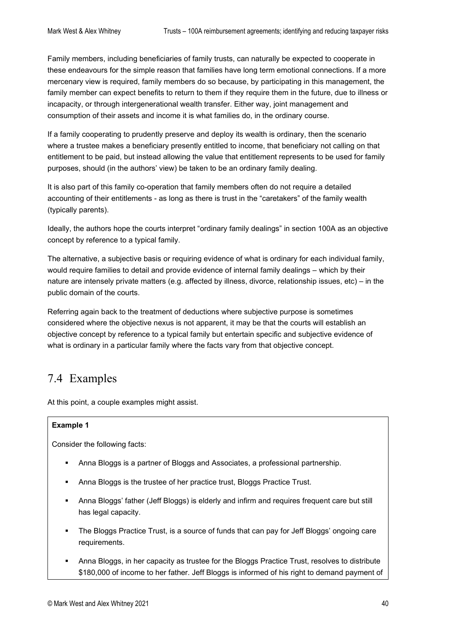Family members, including beneficiaries of family trusts, can naturally be expected to cooperate in these endeavours for the simple reason that families have long term emotional connections. If a more mercenary view is required, family members do so because, by participating in this management, the family member can expect benefits to return to them if they require them in the future, due to illness or incapacity, or through intergenerational wealth transfer. Either way, joint management and consumption of their assets and income it is what families do, in the ordinary course.

If a family cooperating to prudently preserve and deploy its wealth is ordinary, then the scenario where a trustee makes a beneficiary presently entitled to income, that beneficiary not calling on that entitlement to be paid, but instead allowing the value that entitlement represents to be used for family purposes, should (in the authors' view) be taken to be an ordinary family dealing.

It is also part of this family co-operation that family members often do not require a detailed accounting of their entitlements - as long as there is trust in the "caretakers" of the family wealth (typically parents).

Ideally, the authors hope the courts interpret "ordinary family dealings" in section 100A as an objective concept by reference to a typical family.

The alternative, a subjective basis or requiring evidence of what is ordinary for each individual family, would require families to detail and provide evidence of internal family dealings – which by their nature are intensely private matters (e.g. affected by illness, divorce, relationship issues, etc) – in the public domain of the courts.

Referring again back to the treatment of deductions where subjective purpose is sometimes considered where the objective nexus is not apparent, it may be that the courts will establish an objective concept by reference to a typical family but entertain specific and subjective evidence of what is ordinary in a particular family where the facts vary from that objective concept.

### <span id="page-39-0"></span>7.4 Examples

At this point, a couple examples might assist.

#### **Example 1**

Consider the following facts:

- Anna Bloggs is a partner of Bloggs and Associates, a professional partnership.
- Anna Bloggs is the trustee of her practice trust, Bloggs Practice Trust.
- Anna Bloggs' father (Jeff Bloggs) is elderly and infirm and requires frequent care but still has legal capacity.
- The Bloggs Practice Trust, is a source of funds that can pay for Jeff Bloggs' ongoing care requirements.
- Anna Bloggs, in her capacity as trustee for the Bloggs Practice Trust, resolves to distribute \$180,000 of income to her father. Jeff Bloggs is informed of his right to demand payment of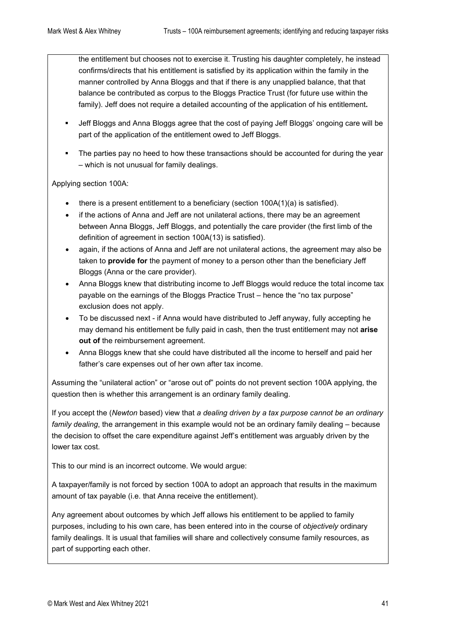the entitlement but chooses not to exercise it. Trusting his daughter completely, he instead confirms/directs that his entitlement is satisfied by its application within the family in the manner controlled by Anna Bloggs and that if there is any unapplied balance, that that balance be contributed as corpus to the Bloggs Practice Trust (for future use within the family). Jeff does not require a detailed accounting of the application of his entitlement**.**

- Jeff Bloggs and Anna Bloggs agree that the cost of paying Jeff Bloggs' ongoing care will be part of the application of the entitlement owed to Jeff Bloggs.
- The parties pay no heed to how these transactions should be accounted for during the year – which is not unusual for family dealings.

Applying section 100A:

- there is a present entitlement to a beneficiary (section 100A(1)(a) is satisfied).
- if the actions of Anna and Jeff are not unilateral actions, there may be an agreement between Anna Bloggs, Jeff Bloggs, and potentially the care provider (the first limb of the definition of agreement in section 100A(13) is satisfied).
- again, if the actions of Anna and Jeff are not unilateral actions, the agreement may also be taken to **provide for** the payment of money to a person other than the beneficiary Jeff Bloggs (Anna or the care provider).
- Anna Bloggs knew that distributing income to Jeff Bloggs would reduce the total income tax payable on the earnings of the Bloggs Practice Trust – hence the "no tax purpose" exclusion does not apply.
- To be discussed next if Anna would have distributed to Jeff anyway, fully accepting he may demand his entitlement be fully paid in cash, then the trust entitlement may not **arise out of the reimbursement agreement.**
- Anna Bloggs knew that she could have distributed all the income to herself and paid her father's care expenses out of her own after tax income.

Assuming the "unilateral action" or "arose out of" points do not prevent section 100A applying, the question then is whether this arrangement is an ordinary family dealing.

If you accept the (*Newton* based) view that *a dealing driven by a tax purpose cannot be an ordinary family dealing*, the arrangement in this example would not be an ordinary family dealing – because the decision to offset the care expenditure against Jeff's entitlement was arguably driven by the lower tax cost.

This to our mind is an incorrect outcome. We would argue:

A taxpayer/family is not forced by section 100A to adopt an approach that results in the maximum amount of tax payable (i.e. that Anna receive the entitlement).

Any agreement about outcomes by which Jeff allows his entitlement to be applied to family purposes, including to his own care, has been entered into in the course of *objectively* ordinary family dealings. It is usual that families will share and collectively consume family resources, as part of supporting each other.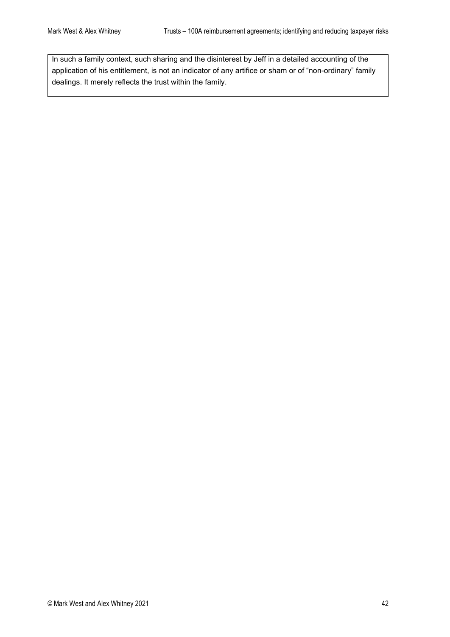In such a family context, such sharing and the disinterest by Jeff in a detailed accounting of the application of his entitlement, is not an indicator of any artifice or sham or of "non-ordinary" family dealings. It merely reflects the trust within the family.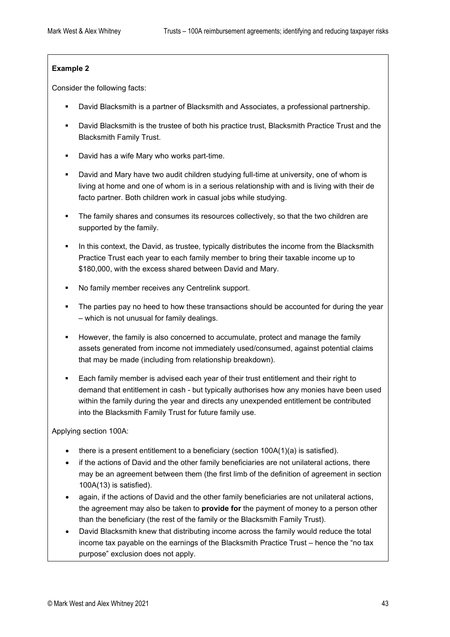#### **Example 2**

Consider the following facts:

- David Blacksmith is a partner of Blacksmith and Associates, a professional partnership.
- David Blacksmith is the trustee of both his practice trust, Blacksmith Practice Trust and the Blacksmith Family Trust.
- David has a wife Mary who works part-time.
- David and Mary have two audit children studying full-time at university, one of whom is living at home and one of whom is in a serious relationship with and is living with their de facto partner. Both children work in casual jobs while studying.
- The family shares and consumes its resources collectively, so that the two children are supported by the family.
- In this context, the David, as trustee, typically distributes the income from the Blacksmith Practice Trust each year to each family member to bring their taxable income up to \$180,000, with the excess shared between David and Mary.
- No family member receives any Centrelink support.
- **The parties pay no heed to how these transactions should be accounted for during the year** – which is not unusual for family dealings.
- However, the family is also concerned to accumulate, protect and manage the family assets generated from income not immediately used/consumed, against potential claims that may be made (including from relationship breakdown).
- Each family member is advised each year of their trust entitlement and their right to demand that entitlement in cash - but typically authorises how any monies have been used within the family during the year and directs any unexpended entitlement be contributed into the Blacksmith Family Trust for future family use.

Applying section 100A:

- there is a present entitlement to a beneficiary (section  $100A(1)(a)$  is satisfied).
- if the actions of David and the other family beneficiaries are not unilateral actions, there may be an agreement between them (the first limb of the definition of agreement in section 100A(13) is satisfied).
- again, if the actions of David and the other family beneficiaries are not unilateral actions, the agreement may also be taken to **provide for** the payment of money to a person other than the beneficiary (the rest of the family or the Blacksmith Family Trust).
- David Blacksmith knew that distributing income across the family would reduce the total income tax payable on the earnings of the Blacksmith Practice Trust – hence the "no tax purpose" exclusion does not apply.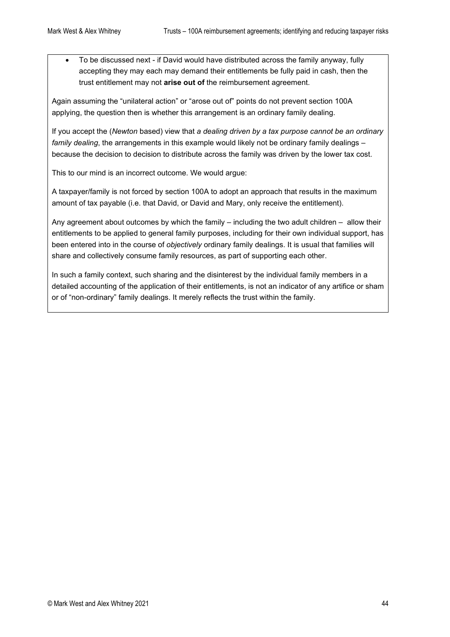• To be discussed next - if David would have distributed across the family anyway, fully accepting they may each may demand their entitlements be fully paid in cash, then the trust entitlement may not **arise out of** the reimbursement agreement.

Again assuming the "unilateral action" or "arose out of" points do not prevent section 100A applying, the question then is whether this arrangement is an ordinary family dealing.

If you accept the (*Newton* based) view that *a dealing driven by a tax purpose cannot be an ordinary family dealing*, the arrangements in this example would likely not be ordinary family dealings – because the decision to decision to distribute across the family was driven by the lower tax cost.

This to our mind is an incorrect outcome. We would argue:

A taxpayer/family is not forced by section 100A to adopt an approach that results in the maximum amount of tax payable (i.e. that David, or David and Mary, only receive the entitlement).

Any agreement about outcomes by which the family – including the two adult children – allow their entitlements to be applied to general family purposes, including for their own individual support, has been entered into in the course of *objectively* ordinary family dealings. It is usual that families will share and collectively consume family resources, as part of supporting each other.

In such a family context, such sharing and the disinterest by the individual family members in a detailed accounting of the application of their entitlements, is not an indicator of any artifice or sham or of "non-ordinary" family dealings. It merely reflects the trust within the family.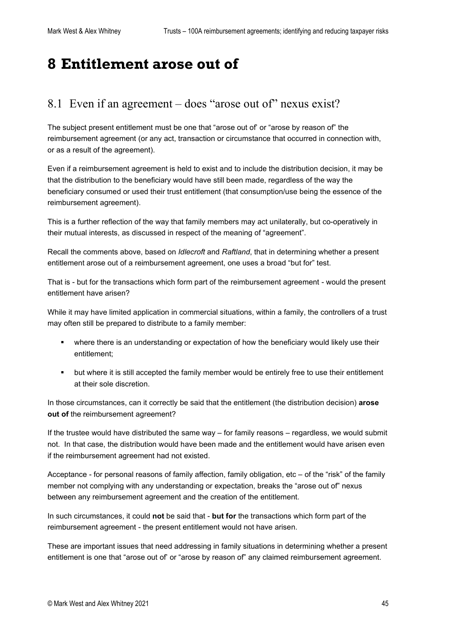# <span id="page-44-0"></span>**8 Entitlement arose out of**

### <span id="page-44-1"></span>8.1 Even if an agreement – does "arose out of" nexus exist?

The subject present entitlement must be one that "arose out of' or "arose by reason of" the reimbursement agreement (or any act, transaction or circumstance that occurred in connection with, or as a result of the agreement).

Even if a reimbursement agreement is held to exist and to include the distribution decision, it may be that the distribution to the beneficiary would have still been made, regardless of the way the beneficiary consumed or used their trust entitlement (that consumption/use being the essence of the reimbursement agreement).

This is a further reflection of the way that family members may act unilaterally, but co-operatively in their mutual interests, as discussed in respect of the meaning of "agreement".

Recall the comments above, based on *Idlecroft* and *Raftland*, that in determining whether a present entitlement arose out of a reimbursement agreement, one uses a broad "but for" test.

That is - but for the transactions which form part of the reimbursement agreement - would the present entitlement have arisen?

While it may have limited application in commercial situations, within a family, the controllers of a trust may often still be prepared to distribute to a family member:

- where there is an understanding or expectation of how the beneficiary would likely use their entitlement;
- but where it is still accepted the family member would be entirely free to use their entitlement at their sole discretion.

In those circumstances, can it correctly be said that the entitlement (the distribution decision) **arose out of** the reimbursement agreement?

If the trustee would have distributed the same way – for family reasons – regardless, we would submit not. In that case, the distribution would have been made and the entitlement would have arisen even if the reimbursement agreement had not existed.

Acceptance - for personal reasons of family affection, family obligation, etc – of the "risk" of the family member not complying with any understanding or expectation, breaks the "arose out of" nexus between any reimbursement agreement and the creation of the entitlement.

In such circumstances, it could **not** be said that - **but for** the transactions which form part of the reimbursement agreement - the present entitlement would not have arisen.

These are important issues that need addressing in family situations in determining whether a present entitlement is one that "arose out of' or "arose by reason of" any claimed reimbursement agreement.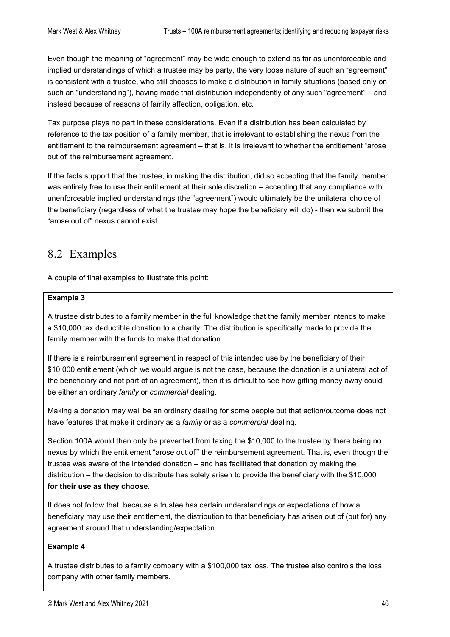Even though the meaning of "agreement" may be wide enough to extend as far as unenforceable and implied understandings of which a trustee may be party, the very loose nature of such an "agreement" is consistent with a trustee, who still chooses to make a distribution in family situations (based only on such an "understanding"), having made that distribution independently of any such "agreement" – and instead because of reasons of family affection, obligation, etc.

Tax purpose plays no part in these considerations. Even if a distribution has been calculated by reference to the tax position of a family member, that is irrelevant to establishing the nexus from the entitlement to the reimbursement agreement – that is, it is irrelevant to whether the entitlement "arose out of' the reimbursement agreement.

If the facts support that the trustee, in making the distribution, did so accepting that the family member was entirely free to use their entitlement at their sole discretion – accepting that any compliance with unenforceable implied understandings (the "agreement") would ultimately be the unilateral choice of the beneficiary (regardless of what the trustee may hope the beneficiary will do) - then we submit the "arose out of" nexus cannot exist.

### <span id="page-45-0"></span>8.2 Examples

A couple of final examples to illustrate this point:

#### **Example 3**

A trustee distributes to a family member in the full knowledge that the family member intends to make a \$10,000 tax deductible donation to a charity. The distribution is specifically made to provide the family member with the funds to make that donation.

If there is a reimbursement agreement in respect of this intended use by the beneficiary of their \$10,000 entitlement (which we would argue is not the case, because the donation is a unilateral act of the beneficiary and not part of an agreement), then it is difficult to see how gifting money away could be either an ordinary *family* or *commercial* dealing.

Making a donation may well be an ordinary dealing for some people but that action/outcome does not have features that make it ordinary as a *family* or as a *commercial* dealing.

Section 100A would then only be prevented from taxing the \$10,000 to the trustee by there being no nexus by which the entitlement "arose out of'" the reimbursement agreement. That is, even though the trustee was aware of the intended donation – and has facilitated that donation by making the distribution – the decision to distribute has solely arisen to provide the beneficiary with the \$10,000 **for their use as they choose**.

It does not follow that, because a trustee has certain understandings or expectations of how a beneficiary may use their entitlement, the distribution to that beneficiary has arisen out of (but for) any agreement around that understanding/expectation.

#### **Example 4**

A trustee distributes to a family company with a \$100,000 tax loss. The trustee also controls the loss company with other family members.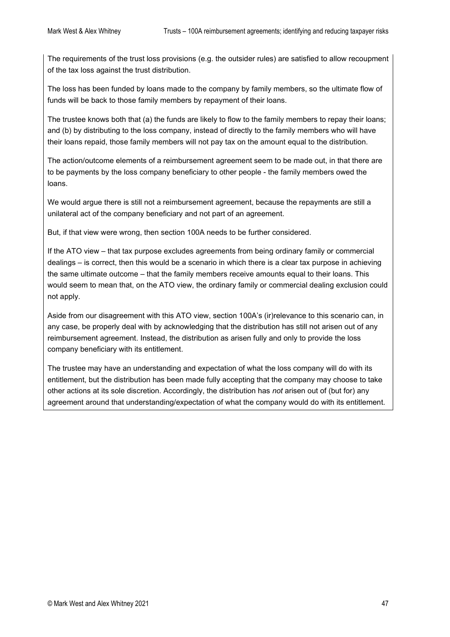The requirements of the trust loss provisions (e.g. the outsider rules) are satisfied to allow recoupment of the tax loss against the trust distribution.

The loss has been funded by loans made to the company by family members, so the ultimate flow of funds will be back to those family members by repayment of their loans.

The trustee knows both that (a) the funds are likely to flow to the family members to repay their loans; and (b) by distributing to the loss company, instead of directly to the family members who will have their loans repaid, those family members will not pay tax on the amount equal to the distribution.

The action/outcome elements of a reimbursement agreement seem to be made out, in that there are to be payments by the loss company beneficiary to other people - the family members owed the loans.

We would argue there is still not a reimbursement agreement, because the repayments are still a unilateral act of the company beneficiary and not part of an agreement.

But, if that view were wrong, then section 100A needs to be further considered.

If the ATO view – that tax purpose excludes agreements from being ordinary family or commercial dealings – is correct, then this would be a scenario in which there is a clear tax purpose in achieving the same ultimate outcome – that the family members receive amounts equal to their loans. This would seem to mean that, on the ATO view, the ordinary family or commercial dealing exclusion could not apply.

Aside from our disagreement with this ATO view, section 100A's (ir)relevance to this scenario can, in any case, be properly deal with by acknowledging that the distribution has still not arisen out of any reimbursement agreement. Instead, the distribution as arisen fully and only to provide the loss company beneficiary with its entitlement.

The trustee may have an understanding and expectation of what the loss company will do with its entitlement, but the distribution has been made fully accepting that the company may choose to take other actions at its sole discretion. Accordingly, the distribution has *not* arisen out of (but for) any agreement around that understanding/expectation of what the company would do with its entitlement.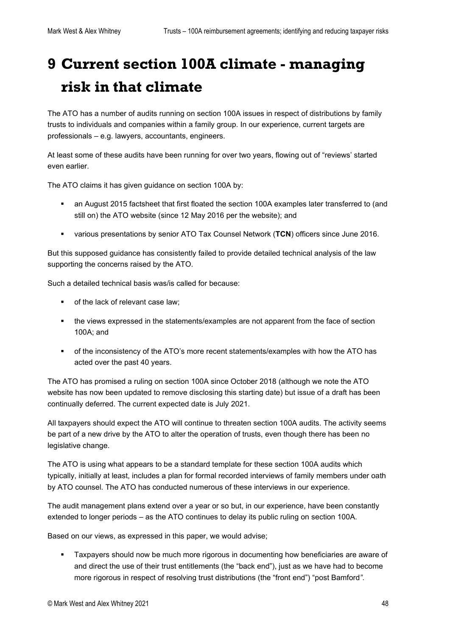# <span id="page-47-0"></span>**9 Current section 100A climate - managing risk in that climate**

The ATO has a number of audits running on section 100A issues in respect of distributions by family trusts to individuals and companies within a family group. In our experience, current targets are professionals – e.g. lawyers, accountants, engineers.

At least some of these audits have been running for over two years, flowing out of "reviews' started even earlier.

The ATO claims it has given guidance on section 100A by:

- an August 2015 factsheet that first floated the section 100A examples later transferred to (and still on) the ATO website (since 12 May 2016 per the website); and
- various presentations by senior ATO Tax Counsel Network (**TCN**) officers since June 2016.

But this supposed guidance has consistently failed to provide detailed technical analysis of the law supporting the concerns raised by the ATO.

Such a detailed technical basis was/is called for because:

- of the lack of relevant case law:
- the views expressed in the statements/examples are not apparent from the face of section 100A; and
- of the inconsistency of the ATO's more recent statements/examples with how the ATO has acted over the past 40 years.

The ATO has promised a ruling on section 100A since October 2018 (although we note the ATO website has now been updated to remove disclosing this starting date) but issue of a draft has been continually deferred. The current expected date is July 2021.

All taxpayers should expect the ATO will continue to threaten section 100A audits. The activity seems be part of a new drive by the ATO to alter the operation of trusts, even though there has been no legislative change.

The ATO is using what appears to be a standard template for these section 100A audits which typically, initially at least, includes a plan for formal recorded interviews of family members under oath by ATO counsel. The ATO has conducted numerous of these interviews in our experience.

The audit management plans extend over a year or so but, in our experience, have been constantly extended to longer periods – as the ATO continues to delay its public ruling on section 100A.

Based on our views, as expressed in this paper, we would advise;

 Taxpayers should now be much more rigorous in documenting how beneficiaries are aware of and direct the use of their trust entitlements (the "back end"), just as we have had to become more rigorous in respect of resolving trust distributions (the "front end") "post Bamford*"*.